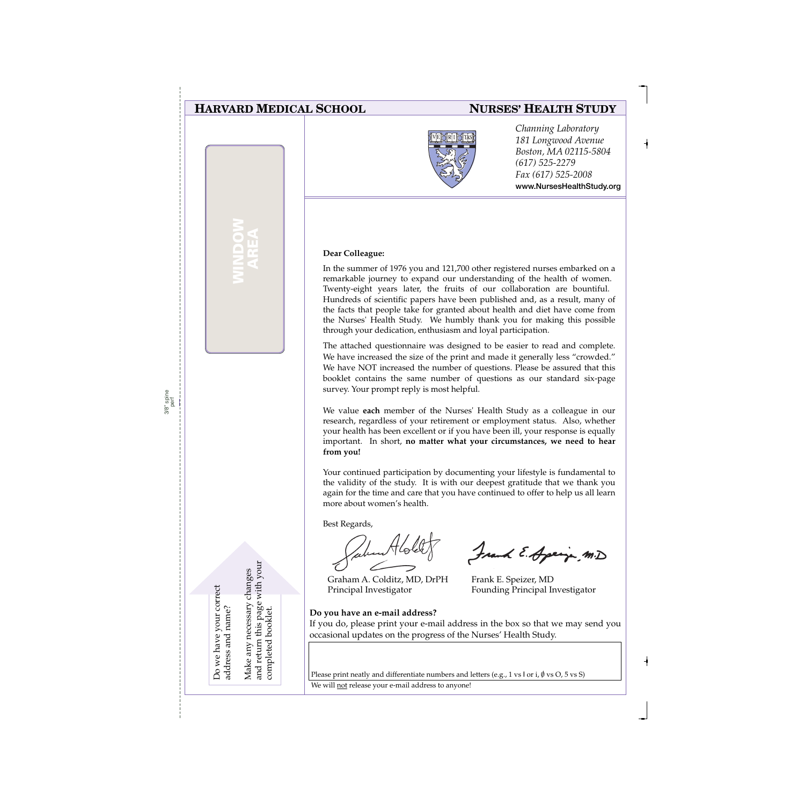### **HARVARD MEDICAL SCHOOL**

**WINDOW AREA**

### **NURSES' HEALTH STUDY**



*Channing Laboratory 181 Longwood Avenue Boston, MA 02115-5804 (617) 525-2279 Fax (617) 525-2008* **www.NursesHealthStudy.org** 

#### **Dear Colleague:**

In the summer of 1976 you and 121,700 other registered nurses embarked on a remarkable journey to expand our understanding of the health of women. Twenty-eight years later, the fruits of our collaboration are bountiful. Hundreds of scientific papers have been published and, as a result, many of the facts that people take for granted about health and diet have come from the Nurses' Health Study. We humbly thank you for making this possible through your dedication, enthusiasm and loyal participation.

The attached questionnaire was designed to be easier to read and complete. We have increased the size of the print and made it generally less "crowded." We have NOT increased the number of questions. Please be assured that this booklet contains the same number of questions as our standard six-page survey. Your prompt reply is most helpful.

We value **each** member of the Nurses' Health Study as a colleague in our research, regardless of your retirement or employment status. Also, whether your health has been excellent or if you have been ill, your response is equally important. In short, **no matter what your circumstances, we need to hear from you!**

Your continued participation by documenting your lifestyle is fundamental to the validity of the study. It is with our deepest gratitude that we thank you again for the time and care that you have continued to offer to help us all learn more about women's health.

Best Regards,

Graham A. Colditz, MD, DrPH Principal Investigator

**Do you have an e-mail address?**

Frank E. Apring m.D

Frank E. Speizer, MD Founding Principal Investigator

If you do, please print your e-mail address in the box so that we may send you occasional updates on the progress of the Nurses' Health Study.

Please print neatly and differentiate numbers and letters (e.g., 1 vs l or i,  $\emptyset$  vs O, 5 vs S)

We will not release your e-mail address to anyone!

Do we have your correct Do we have your correct address and name? address and name? Make any necessary changes and return this page with your

and return this page with your Make any necessary changes

completed booklet.

completed booklet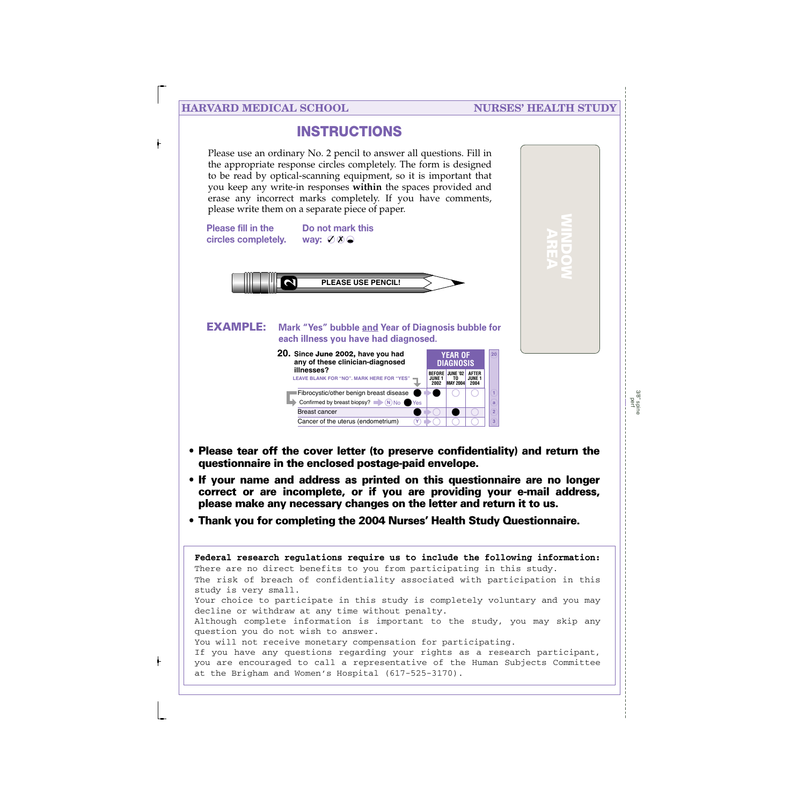### **HARVARD MEDICAL SCHOOL NURSES' HEALTH STUDY**

**WINDOW AREA**

## **INSTRUCTIONS**

Please use an ordinary No. 2 pencil to answer all questions. Fill in the appropriate response circles completely. The form is designed to be read by optical-scanning equipment, so it is important that you keep any write-in responses **within** the spaces provided and erase any incorrect marks completely. If you have comments, please write them on a separate piece of paper.



- **• Please tear off the cover letter (to preserve confidentiality) and return the questionnaire in the enclosed postage-paid envelope.**
- **• If your name and address as printed on this questionnaire are no longer correct or are incomplete, or if you are providing your e-mail address, please make any necessary changes on the letter and return it to us.**
- **• Thank you for completing the 2004 Nurses' Health Study Questionnaire.**

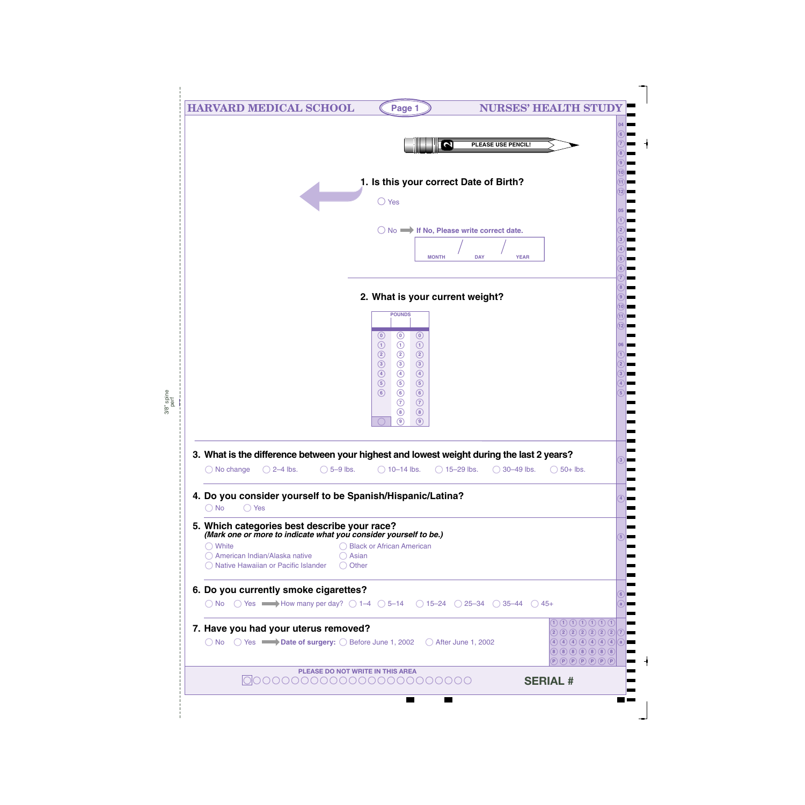| <b>HARVARD MEDICAL SCHOOL</b>                                                                                                       | Page 1                                                                                       | <b>NURSES' HEALTH STUD</b>                                                                                                                               |
|-------------------------------------------------------------------------------------------------------------------------------------|----------------------------------------------------------------------------------------------|----------------------------------------------------------------------------------------------------------------------------------------------------------|
|                                                                                                                                     |                                                                                              |                                                                                                                                                          |
|                                                                                                                                     | $\boldsymbol{\sim}$                                                                          | PLEASE USE PENCIL!                                                                                                                                       |
|                                                                                                                                     |                                                                                              |                                                                                                                                                          |
|                                                                                                                                     | 1. Is this your correct Date of Birth?                                                       |                                                                                                                                                          |
|                                                                                                                                     | $\bigcirc$ Yes                                                                               |                                                                                                                                                          |
|                                                                                                                                     |                                                                                              |                                                                                                                                                          |
|                                                                                                                                     | $\bigcirc$ No $\longrightarrow$ If No, Please write correct date.                            |                                                                                                                                                          |
|                                                                                                                                     |                                                                                              |                                                                                                                                                          |
|                                                                                                                                     | <b>MONTH</b>                                                                                 | <b>DAY</b><br><b>YEAR</b>                                                                                                                                |
|                                                                                                                                     |                                                                                              |                                                                                                                                                          |
|                                                                                                                                     | 2. What is your current weight?                                                              |                                                                                                                                                          |
|                                                                                                                                     | <b>POUNDS</b>                                                                                |                                                                                                                                                          |
|                                                                                                                                     | $\odot$<br>$\odot$<br>$\circ$                                                                |                                                                                                                                                          |
|                                                                                                                                     | $\odot$<br>$\odot$<br>$\odot$<br>$\circled{2}$<br>$\circled{2}$<br>$\circled{2}$             |                                                                                                                                                          |
|                                                                                                                                     | $\circled{3}$<br>$\circled{3}$<br>$\circled{3}$                                              |                                                                                                                                                          |
|                                                                                                                                     | $\bigcirc$<br>$\bigcirc$<br>$\circled{4}$<br>$\circled{5}$<br>$\circled{5}$<br>$\circled{5}$ |                                                                                                                                                          |
|                                                                                                                                     | $\odot$<br>$\circledcirc$<br>$\circ$<br>$\odot$<br>$\odot$                                   |                                                                                                                                                          |
|                                                                                                                                     | $\circledS$<br>$\circled{8}$<br>$\circledcirc$<br>⊚)                                         |                                                                                                                                                          |
|                                                                                                                                     |                                                                                              |                                                                                                                                                          |
| 3. What is the difference between your highest and lowest weight during the last 2 years?                                           |                                                                                              |                                                                                                                                                          |
| $\bigcirc$ 2–4 lbs.<br>$\bigcirc$ 5-9 lbs.<br>$\bigcirc$ No change                                                                  | $\bigcirc$ 10-14 lbs.                                                                        | $\bigcirc$ 15-29 lbs.<br>$\bigcirc$ 30-49 lbs.<br>$\bigcirc$ 50+ lbs.                                                                                    |
| 4. Do you consider yourself to be Spanish/Hispanic/Latina?                                                                          |                                                                                              |                                                                                                                                                          |
| $\bigcirc$ Yes<br>$\bigcirc$ No                                                                                                     |                                                                                              |                                                                                                                                                          |
| 5. Which categories best describe your race?                                                                                        |                                                                                              |                                                                                                                                                          |
| (Mark one or more to indicate what you consider yourself to be.)<br>$\bigcirc$ White                                                | ◯ Black or African American                                                                  |                                                                                                                                                          |
| ◯ American Indian/Alaska native<br>$\bigcirc$ Asian<br>◯ Native Hawaiian or Pacific Islander<br>$\bigcirc$ Other                    |                                                                                              |                                                                                                                                                          |
|                                                                                                                                     |                                                                                              |                                                                                                                                                          |
| 6. Do you currently smoke cigarettes?                                                                                               |                                                                                              |                                                                                                                                                          |
| O No $\circ$ Yes $\longrightarrow$ How many per day? $\circ$ 1-4 $\circ$ 5-14 $\circ$ 15-24 $\circ$ 25-34 $\circ$ 35-44 $\circ$ 45+ |                                                                                              |                                                                                                                                                          |
| 7. Have you had your uterus removed?                                                                                                |                                                                                              | $\textcircled{1}\textcircled{1}\textcircled{1}\textcircled{1}\textcircled{1}\textcircled{1}$<br>22222221                                                 |
| $\bigcirc$ No $\bigcirc$ Yes $\longrightarrow$ Date of surgery: $\bigcirc$ Before June 1, 2002 $\bigcirc$ After June 1, 2002        |                                                                                              | $(4)$ (4) (4) (4) (4) (4) (a)<br>$\overline{P}$ $\overline{P}$ $\overline{P}$ $\overline{P}$ $\overline{P}$ $\overline{P}$ $\overline{P}$ $\overline{P}$ |
| <b>PLEASE DO NOT WRITE IN THIS AREA</b>                                                                                             |                                                                                              | <b>SERIAL #</b>                                                                                                                                          |
|                                                                                                                                     |                                                                                              |                                                                                                                                                          |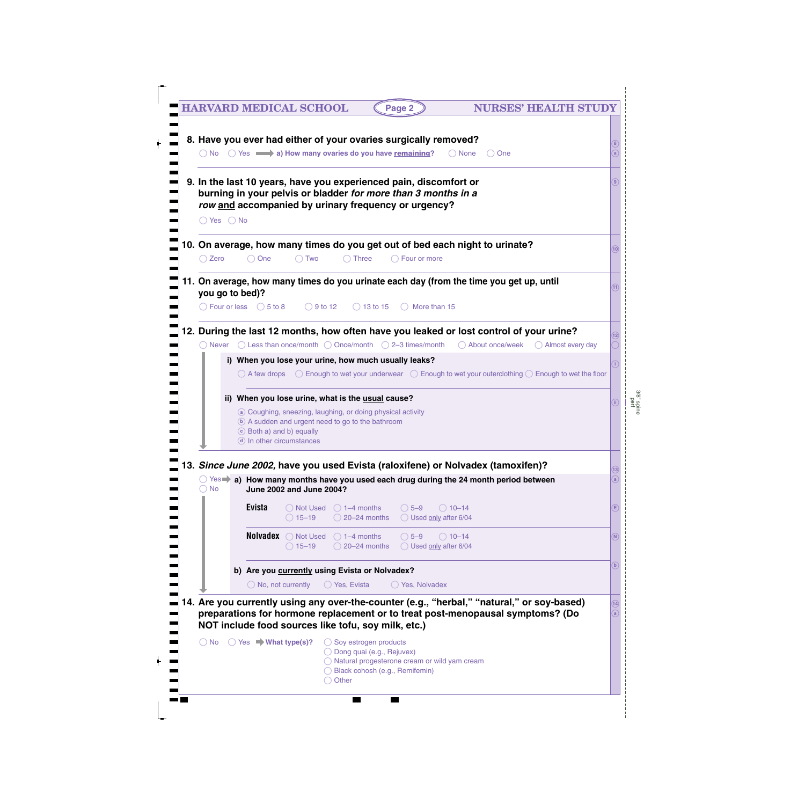| $\bigcirc$ Yes $\bigcirc$ No |                                                       | burning in your pelvis or bladder for more than 3 months in a<br>row and accompanied by urinary frequency or urgency?                                                      |                                                                |                                             |                  |                                                                                                                             |                                                                                                                                                          |             |
|------------------------------|-------------------------------------------------------|----------------------------------------------------------------------------------------------------------------------------------------------------------------------------|----------------------------------------------------------------|---------------------------------------------|------------------|-----------------------------------------------------------------------------------------------------------------------------|----------------------------------------------------------------------------------------------------------------------------------------------------------|-------------|
| ◯ Zero                       | $\bigcirc$ One                                        | $\bigcirc$ Two                                                                                                                                                             | $\bigcap$ Three                                                | $\bigcirc$ Four or more                     |                  | 10. On average, how many times do you get out of bed each night to urinate?                                                 |                                                                                                                                                          | (10)        |
| you go to bed)?              |                                                       |                                                                                                                                                                            |                                                                |                                             |                  | 11. On average, how many times do you urinate each day (from the time you get up, until                                     |                                                                                                                                                          |             |
|                              |                                                       | $\bigcirc$ Four or less $\bigcirc$ 5 to 8 $\bigcirc$ 9 to 12                                                                                                               |                                                                | $\bigcirc$ 13 to 15 $\bigcirc$ More than 15 |                  |                                                                                                                             |                                                                                                                                                          |             |
|                              |                                                       |                                                                                                                                                                            |                                                                |                                             |                  | 12. During the last 12 months, how often have you leaked or lost control of your urine?                                     | $\bigcirc$ Never $\bigcirc$ Less than once/month $\bigcirc$ Once/month $\bigcirc$ 2-3 times/month $\bigcirc$ About once/week $\bigcirc$ Almost every day |             |
|                              |                                                       | i) When you lose your urine, how much usually leaks?                                                                                                                       |                                                                |                                             |                  |                                                                                                                             | $\bigcirc$ A few drops $\bigcirc$ Enough to wet your underwear $\bigcirc$ Enough to wet your outerclothing $\bigcirc$ Enough to wet the floor            |             |
|                              | c Both a) and b) equally<br>d) In other circumstances | ii) When you lose urine, what is the usual cause?<br>a Coughing, sneezing, laughing, or doing physical activity<br><b>b</b> A sudden and urgent need to go to the bathroom |                                                                |                                             |                  |                                                                                                                             |                                                                                                                                                          |             |
|                              |                                                       |                                                                                                                                                                            |                                                                |                                             |                  | 13. Since June 2002, have you used Evista (raloxifene) or Nolvadex (tamoxifen)?                                             |                                                                                                                                                          | (13)        |
| $\bigcirc$ No                |                                                       | <b>June 2002 and June 2004?</b>                                                                                                                                            |                                                                |                                             |                  | $\circlearrowright$ Yes $\blacktriangleright$ a) How many months have you used each drug during the 24 month period between |                                                                                                                                                          | a           |
|                              | <b>Evista</b>                                         | ◯ Not Used<br>$\bigcirc$ 15-19                                                                                                                                             | $\bigcirc$ 1–4 months<br>◯ 20-24 months ◯ Used only after 6/04 | $\bigcirc$ 5-9                              | $\bigcirc$ 10–14 |                                                                                                                             |                                                                                                                                                          | Ε           |
|                              |                                                       | <b>Nolvadex</b> $\bigcirc$ Not Used $\bigcirc$ 1-4 months<br>$\bigcirc$ 15-19                                                                                              | ◯ 20-24 months ◯ Used only after 6/04                          | $\bigcirc$ 5-9                              | $\bigcirc$ 10-14 |                                                                                                                             |                                                                                                                                                          | N           |
|                              | $\bigcirc$ No, not currently                          | b) Are you currently using Evista or Nolvadex?                                                                                                                             | $\bigcirc$ Yes, Evista                                         | ◯ Yes, Nolvadex                             |                  |                                                                                                                             |                                                                                                                                                          | $\mathbf b$ |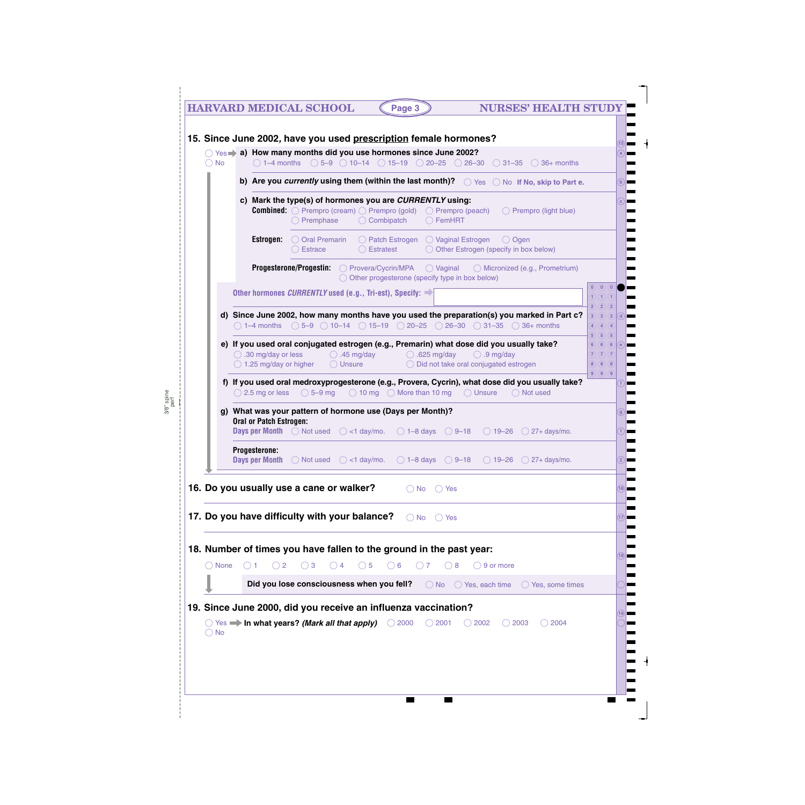|           | <b>HARVARD MEDICAL SCHOOL</b><br><b>NURSES' HEALTH STUDY</b><br>Page 3                                                                                                                                                                                       |            |
|-----------|--------------------------------------------------------------------------------------------------------------------------------------------------------------------------------------------------------------------------------------------------------------|------------|
|           | 15. Since June 2002, have you used prescription female hormones?                                                                                                                                                                                             |            |
| <b>No</b> | $\bigcirc$ Yes a) How many months did you use hormones since June 2002?<br>$\bigcirc$ 1-4 months $\bigcirc$ 5-9 $\bigcirc$ 10-14 $\bigcirc$ 15-19 $\bigcirc$ 20-25 $\bigcirc$ 26-30 $\bigcirc$ 31-35 $\bigcirc$ 36+ months                                   |            |
|           | b) Are you currently using them (within the last month)? $\bigcirc$ Yes $\bigcirc$ No If No, skip to Part e.                                                                                                                                                 | $\bigcirc$ |
|           | c) Mark the type(s) of hormones you are CURRENTLY using:<br><b>Combined:</b> $\bigcirc$ Prempro (cream) $\bigcirc$ Prempro (gold) $\bigcirc$ Prempro (peach) $\bigcirc$ Prempro (light blue)<br>$\bigcirc$ Premphase $\bigcirc$ Combipatch $\bigcirc$ FemHRT | $\bigcirc$ |
|           | Estrogen:<br>$\bigcirc$ Oral Premarin $\bigcirc$ Patch Estrogen $\bigcirc$ Vaginal Estrogen<br>( ) Ogen<br>○ Estratest      ○ Other Estrogen (specify in hox below)<br>Estrace                                                                               |            |

. .  $\blacksquare$ 

a,

Ξ . . ╘

 $\blacksquare$ 

|                 | ◯ Combipatch                                                                                                                                                                                                                                                                                       |                                                 |
|-----------------|----------------------------------------------------------------------------------------------------------------------------------------------------------------------------------------------------------------------------------------------------------------------------------------------------|-------------------------------------------------|
|                 | <b>Estrogen:</b> O Oral Premarin<br>$\bigcirc$ Patch Estrogen $\bigcirc$ Vaginal Estrogen $\bigcirc$ Ogen<br>O Other Estrogen (specify in box below)<br>$\bigcirc$ Estratest<br>$\bigcirc$ Estrace                                                                                                 |                                                 |
|                 | <b>Progesterone/Progestin:</b> O Provera/Cycrin/MPA O Vaginal O Micronized (e.g., Prometrium)<br>$\bigcirc$ Other progesterone (specify type in box below)                                                                                                                                         |                                                 |
|                 | Other hormones <i>CURRENTLY</i> used (e.g., Tri-est), Specify: $\rightarrow$                                                                                                                                                                                                                       | (0)(0)(0)                                       |
|                 | d) Since June 2002, how many months have you used the preparation(s) you marked in Part c?<br>$\bigcirc$ 1-4 months $\bigcirc$ 5-9 $\bigcirc$ 10-14 $\bigcirc$ 15-19 $\bigcirc$ 20-25 $\bigcirc$ 26-30 $\bigcirc$ 31-35 $\bigcirc$ 36+ months                                                      | 2)(2)(2)<br>$3)$ $(3)$ $(3)$ $(d)$<br>4)(4)(4)  |
|                 | e) If you used oral conjugated estrogen (e.g., Premarin) what dose did you usually take?<br>$\bigcirc$ .30 mg/day or less $\bigcirc$ .45 mg/day $\bigcirc$ .625 mg/day $\bigcirc$ .9 mg/day<br>$\bigcirc$ 1.25 mg/day or higher $\bigcirc$ Unsure $\bigcirc$ Did not take oral conjugated estrogen | 5)(5)(5)<br>6) 6) 6) e<br>(7)(7)(7)<br>8)(8)(8) |
|                 | f) If you used oral medroxyprogesterone (e.g., Provera, Cycrin), what dose did you usually take?<br>$\bigcirc$ 2.5 mg or less $\bigcirc$ 5–9 mg $\bigcirc$ 10 mg $\bigcirc$ More than 10 mg $\bigcirc$ Unsure<br>$\bigcirc$ Not used                                                               | (9)(9)(9)                                       |
|                 | g) What was your pattern of hormone use (Days per Month)?                                                                                                                                                                                                                                          |                                                 |
|                 | Oral or Patch Estrogen:<br><b>Days per Month</b> $\bigcirc$ Not used $\bigcirc$ <1 day/mo. $\bigcirc$ 1-8 days $\bigcirc$ 9-18 $\bigcirc$ 19-26 $\bigcirc$ 27+ days/mo.                                                                                                                            |                                                 |
|                 | Progesterone:<br><b>Days per Month</b> $\bigcirc$ Not used $\bigcirc$ <1 day/mo. $\bigcirc$ 1-8 days $\bigcirc$ 9-18 $\bigcirc$ 19-26 $\bigcirc$ 27+ days/mo.                                                                                                                                      |                                                 |
|                 | 16. Do you usually use a cane or walker?<br>$\bigcirc$ No $\bigcirc$ Yes                                                                                                                                                                                                                           |                                                 |
|                 | 17. Do you have difficulty with your balance?<br>$\bigcirc$ No $\bigcirc$ Yes                                                                                                                                                                                                                      |                                                 |
|                 | 18. Number of times you have fallen to the ground in the past year:                                                                                                                                                                                                                                |                                                 |
| $\bigcirc$ None | $\bigcirc$ 5<br>$\bigcirc$ 6<br>$\bigcirc$ 2<br>$\bigcirc$ 3<br>$\bigcirc$ 4<br>$\bigcirc$ 7<br>$\bigcirc$ 8 $\bigcirc$ 9 or more<br>$\bigcirc$ 1                                                                                                                                                  |                                                 |

 $\blacksquare$ 

 $\blacksquare$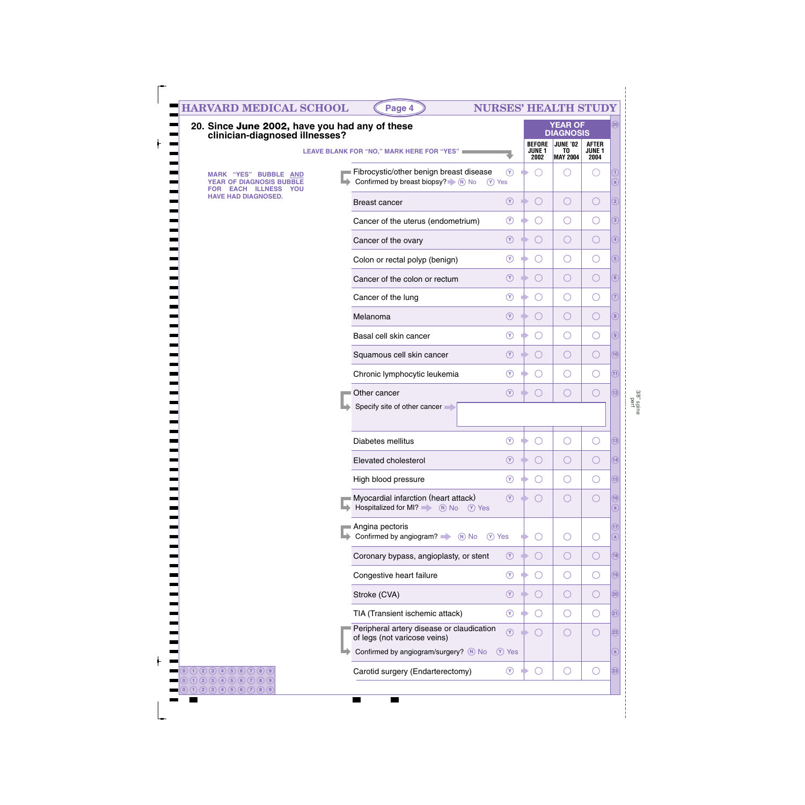| 20. Since June 2002, have you had any of these<br>clinician-diagnosed illnesses?           |                                                                                                        |                             |                                                 | <b>YEAR OF</b><br><b>DIAGNOSIS</b> |                                       |  |
|--------------------------------------------------------------------------------------------|--------------------------------------------------------------------------------------------------------|-----------------------------|-------------------------------------------------|------------------------------------|---------------------------------------|--|
|                                                                                            | LEAVE BLANK FOR "NO," MARK HERE FOR "YES"                                                              |                             | <b>BEFORE</b><br><b>JUNE 1</b><br>2002          | JUNE '02<br>TO<br><b>MAY 2004</b>  | <b>AFTER</b><br><b>JUNE 1</b><br>2004 |  |
| <b>MARK "YES" BUBBLE AND</b><br><b>YEAR OF DIAGNOSIS BUBBLE</b><br><b>EACH ILLNESS YOU</b> | Fibrocystic/other benign breast disease<br>Confirmed by breast biopsy? $\blacksquare$ No No            | $\circledcirc$<br>$(Y)$ Yes | $($ )                                           | 0                                  | $(\quad)$                             |  |
| <b>HAVE HAD DIAGNOSED.</b>                                                                 | <b>Breast cancer</b>                                                                                   | $\circledcirc$              | $\bigcirc$                                      | $\bigcirc$                         | $\bigcirc$                            |  |
|                                                                                            | Cancer of the uterus (endometrium)                                                                     | $\circled{r}$               | ( )                                             | $\bigcirc$                         | ◯                                     |  |
|                                                                                            | Cancer of the ovary                                                                                    | $\circledcirc$              | $\bigcirc$                                      | $\bigcirc$                         | O                                     |  |
|                                                                                            | Colon or rectal polyp (benign)                                                                         | $\circ$                     | ( )                                             | $\bigcirc$                         | ◯                                     |  |
|                                                                                            | Cancer of the colon or rectum                                                                          | $\circledcirc$              | $\bigcirc$                                      | $\bigcirc$                         | O                                     |  |
|                                                                                            | Cancer of the lung                                                                                     | $\circ$                     | $\left( \begin{array}{c} 1 \end{array} \right)$ | $\bigcirc$                         | ◯                                     |  |
|                                                                                            | Melanoma                                                                                               | $\circledcirc$              | $\bigcirc$                                      | $\bigcirc$                         | O                                     |  |
|                                                                                            | Basal cell skin cancer                                                                                 | $\circ$                     | $($ )                                           | $\bigcirc$                         | ◯                                     |  |
|                                                                                            | Squamous cell skin cancer                                                                              | $\circledcirc$              | $\bigcirc$                                      | $\bigcirc$                         | O                                     |  |
|                                                                                            | Chronic lymphocytic leukemia                                                                           | $(\Upsilon)$                | $( \ )$                                         | $\bigcirc$                         | Ő                                     |  |
|                                                                                            | Other cancer<br>Specify site of other cancer                                                           | $\circledcirc$              | $($ )                                           | O                                  | $\bigcirc$                            |  |
|                                                                                            |                                                                                                        |                             |                                                 |                                    |                                       |  |
|                                                                                            | Diabetes mellitus                                                                                      | $\circledcirc$              |                                                 | $\overline{(\phantom{a})}$         |                                       |  |
|                                                                                            | Elevated cholesterol                                                                                   |                             |                                                 |                                    |                                       |  |
|                                                                                            | High blood pressure                                                                                    | $\left(\gamma\right)$       | O                                               | $\bigcirc$                         | O                                     |  |
|                                                                                            | Myocardial infarction (heart attack)<br>Hospitalized for MI? $\qquad \qquad \circledR$ No<br>$(Y)$ Yes | $\circledcirc$              | $\left(\begin{array}{c} \end{array}\right)$     | O                                  | O                                     |  |
|                                                                                            | Angina pectoris<br>Confirmed by angiogram?<br>$\overline{N}$ No                                        | (Y) Yes                     | $\left(\begin{array}{c} \end{array}\right)$     | $\bigcirc$                         | Ő                                     |  |
|                                                                                            | Coronary bypass, angioplasty, or stent                                                                 | $\circledcirc$              | $\bigcirc$                                      | $\bigcirc$                         | $\bigcirc$                            |  |
|                                                                                            | Congestive heart failure                                                                               | $^{\circledR}$              | $\left(\begin{array}{c} \end{array}\right)$     | $\bigcirc$                         | O                                     |  |
|                                                                                            | Stroke (CVA)                                                                                           | $\circledcirc$              | $\bigcirc$                                      | $\bigcirc$                         | O                                     |  |
|                                                                                            | TIA (Transient ischemic attack)                                                                        | $\circledcirc$              | $\left(\begin{array}{c} \end{array}\right)$     | $\bigcirc$                         | Ő                                     |  |
|                                                                                            | Peripheral artery disease or claudication<br>of legs (not varicose veins)                              | $\circledcirc$              | $\left(\begin{array}{c} \end{array}\right)$     | $\bigcirc$                         | O                                     |  |
|                                                                                            | Confirmed by angiogram/surgery? M No                                                                   | <b>V</b> Yes                |                                                 |                                    |                                       |  |
|                                                                                            | Carotid surgery (Endarterectomy)                                                                       | $^{\circledR}$              | $\bigcirc$                                      | $\bigcirc$                         | $\bigcirc$                            |  |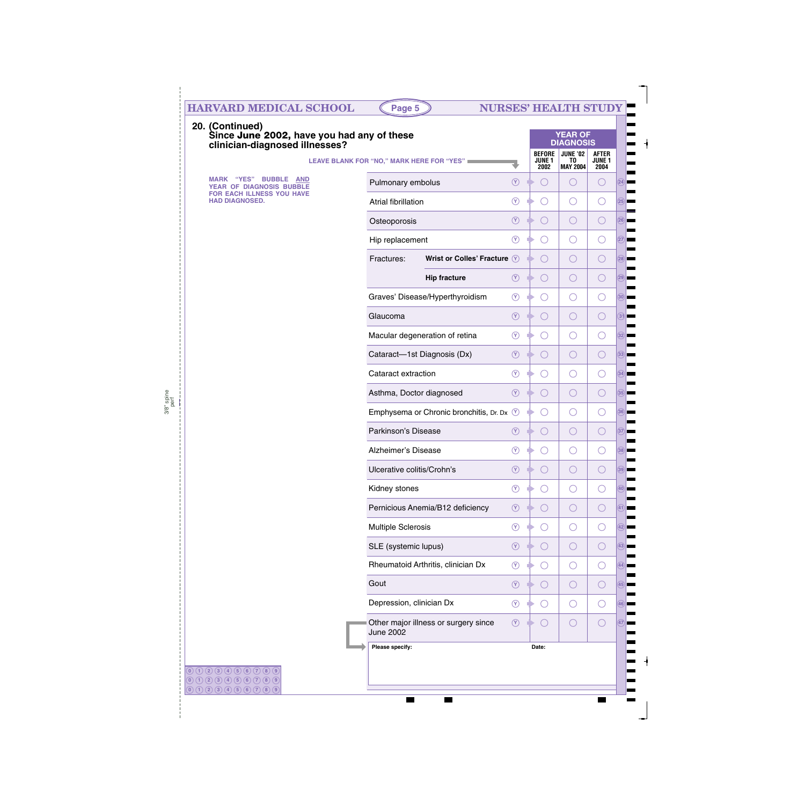| 20. (Continued)<br>Since June 2002, have you had any of these<br>clinician-diagnosed illnesses? |                                                          |                |                                             | <b>YEAR OF</b><br><b>DIAGNOSIS</b>       |                                           |
|-------------------------------------------------------------------------------------------------|----------------------------------------------------------|----------------|---------------------------------------------|------------------------------------------|-------------------------------------------|
|                                                                                                 | <b>LEAVE BLANK FOR "NO," MARK HERE FOR "YES"</b>         |                | <b>BEFORE</b><br><b>JUNE 1</b><br>2002      | <b>JUNE '02</b><br>TO<br><b>MAY 2004</b> | <b>AFTER</b><br>JUNE <sub>1</sub><br>2004 |
| <b>"YES" BUBBLE</b><br><b>MARK</b><br><b>AND</b><br>YEAR OF DIAGNOSIS BUBBLE                    | Pulmonary embolus                                        | $\circledcirc$ | $($ )                                       | ()                                       | $(\ )$                                    |
| FOR EACH ILLNESS YOU HAVE<br><b>HAD DIAGNOSED.</b>                                              | <b>Atrial fibrillation</b>                               | $\circled{r}$  | $(\ )$                                      | O                                        |                                           |
|                                                                                                 | Osteoporosis                                             | $\circledcirc$ | $\bigcirc$                                  | O                                        |                                           |
|                                                                                                 | Hip replacement                                          | $\circled{r}$  | $\left(\begin{array}{c} \end{array}\right)$ | O                                        |                                           |
|                                                                                                 | Wrist or Colles' Fracture V<br>Fractures:                |                | $\left(\begin{array}{c} \end{array}\right)$ | O                                        |                                           |
|                                                                                                 | <b>Hip fracture</b>                                      | $\circledcirc$ | $\bigcirc$                                  | O                                        |                                           |
|                                                                                                 | Graves' Disease/Hyperthyroidism                          | $\circledcirc$ | $\left(\begin{array}{c} \end{array}\right)$ | O                                        |                                           |
|                                                                                                 | Glaucoma                                                 | $\circledcirc$ | $\bigcirc$                                  | O                                        | $(\ )$                                    |
|                                                                                                 | Macular degeneration of retina                           | $\odot$        | $\left(\begin{array}{c} \end{array}\right)$ | O                                        |                                           |
|                                                                                                 | Cataract-1st Diagnosis (Dx)                              | $\circledcirc$ | $\bigcirc$                                  | O                                        |                                           |
|                                                                                                 | Cataract extraction                                      | $\circledcirc$ | ◯                                           | O                                        | ( )                                       |
|                                                                                                 | Asthma, Doctor diagnosed                                 | $\circledcirc$ | $\bigcirc$                                  | O                                        |                                           |
|                                                                                                 | Emphysema or Chronic bronchitis, Dr. Dx $\circledcirc$   |                | ○                                           | O                                        |                                           |
|                                                                                                 | Parkinson's Disease                                      | $\circled{r}$  | ◯                                           | O                                        |                                           |
|                                                                                                 | Alzheimer's Disease                                      | $\circledR$    |                                             |                                          |                                           |
|                                                                                                 | Ulcerative colitis/Crohn's                               | $\circledcirc$ | O                                           | O                                        | ( )                                       |
|                                                                                                 | Kidney stones                                            | $\circledcirc$ | O                                           | O                                        | ( )                                       |
|                                                                                                 | Pernicious Anemia/B12 deficiency                         | $\circledcirc$ | O                                           | O                                        | $\left(\right)$                           |
|                                                                                                 | <b>Multiple Sclerosis</b>                                | $\circledcirc$ | O                                           | O                                        | $\left(\right)$                           |
|                                                                                                 | SLE (systemic lupus)                                     | $\circledcirc$ | $\bigcirc$<br>Ð                             | O                                        | O                                         |
|                                                                                                 | Rheumatoid Arthritis, clinician Dx                       | $\circledcirc$ | O                                           | O                                        | $\left(\right)$                           |
|                                                                                                 | Gout                                                     | $\circledcirc$ | $\bigcirc$                                  | O                                        | O                                         |
|                                                                                                 | Depression, clinician Dx                                 | $\circledcirc$ | O                                           | O                                        | $(\ )$                                    |
|                                                                                                 | Other major illness or surgery since<br><b>June 2002</b> | $\circledcirc$ | $\bigcirc$                                  | $\bigcirc$                               | $(\ )$                                    |
|                                                                                                 | Please specify:                                          |                | Date:                                       |                                          |                                           |

 $\blacksquare$ 

 $\blacksquare$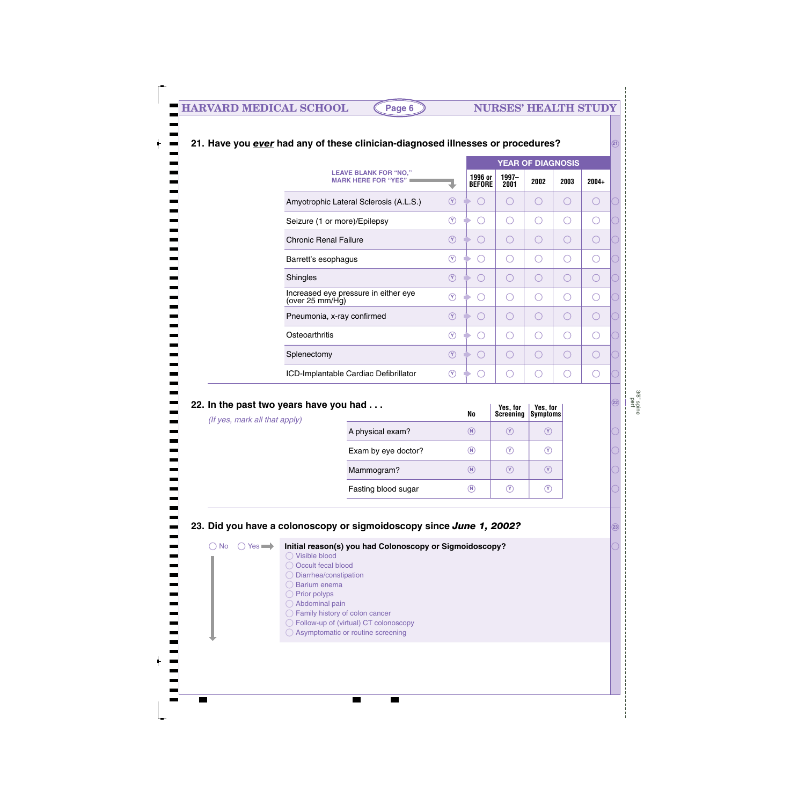|                                                            |                                      |                          | <b>YEAR OF DIAGNOSIS</b> |      |      |         |  |
|------------------------------------------------------------|--------------------------------------|--------------------------|--------------------------|------|------|---------|--|
| <b>LEAVE BLANK FOR "NO,"</b><br><b>MARK HERE FOR "YES"</b> |                                      | 1996 or<br><b>BEFORE</b> | 1997-<br>2001            | 2002 | 2003 | $2004+$ |  |
| Amyotrophic Lateral Sclerosis (A.L.S.)                     | $(\mathsf{Y})$                       |                          |                          |      |      |         |  |
| Seizure (1 or more)/Epilepsy                               | $\left( \mathrm{Y}\right)$           |                          |                          |      | O    |         |  |
| <b>Chronic Renal Failure</b>                               | $\left( \widehat{\mathsf{Y}}\right)$ |                          |                          |      |      |         |  |
| Barrett's esophagus                                        | $\left( \mathrm{Y}\right)$           |                          |                          |      |      |         |  |
| Shingles                                                   | $\left( \widehat{\mathsf{Y}}\right)$ |                          |                          |      |      |         |  |
| Increased eye pressure in either eye<br>(over 25 mm/Hg)    | $\left( \widehat{\mathbf{Y}}\right)$ |                          |                          |      | O    |         |  |
| Pneumonia, x-ray confirmed                                 | $\left( \widehat{Y}\right)$          |                          |                          |      |      |         |  |
| Osteoarthritis                                             | $\left( \mathrm{Y}\right)$           |                          |                          |      |      |         |  |
| Splenectomy                                                | $\left( \mathrm{Y}\right)$           |                          |                          |      |      |         |  |
| ICD-Implantable Cardiac Defibrillator                      | (Y)                                  |                          |                          |      |      |         |  |

### **21. Have you** *ever* **had any of these clinician-diagnosed illnesses or procedures?**

| 22. In the past two years have you had<br>(If yes, mark all that apply) |                     | <b>No</b>       | Yes, for<br><b>Screéning</b> | Yes, for<br>Symptoms |
|-------------------------------------------------------------------------|---------------------|-----------------|------------------------------|----------------------|
|                                                                         | A physical exam?    | $\circledR$     | $(\mathsf{Y})$               | $(\mathsf{Y})$       |
|                                                                         | Exam by eye doctor? | $^\mathrm{(N)}$ | $(\mathsf{Y})$               | $(\Upsilon)$         |
|                                                                         | Mammogram?          | (N)             | $(\mathsf{Y})$               | $(\mathsf{Y})$       |
|                                                                         | Fasting blood sugar | $^\mathrm{(N)}$ | $(\mathsf{Y})$               | (Y)                  |
|                                                                         |                     |                 |                              |                      |

### **23. Did you have a colonoscopy or sigmoidoscopy since** *June 1, 2002?*

**Initial reason(s) you had Colonoscopy or Sigmoidoscopy?**  $\bigcap$  No  $\bigcap$  Yes  $\longrightarrow$ 

Visible blood

- O Occult fecal blood
- Diarrhea/constipation
- O Barium enema
- $\bigcirc$  Prior polyps Abdominal pain
- Family history of colon cancer
- Follow-up of (virtual) CT colonoscopy
- ◯ Asymptomatic or routine screening

**22**

**21**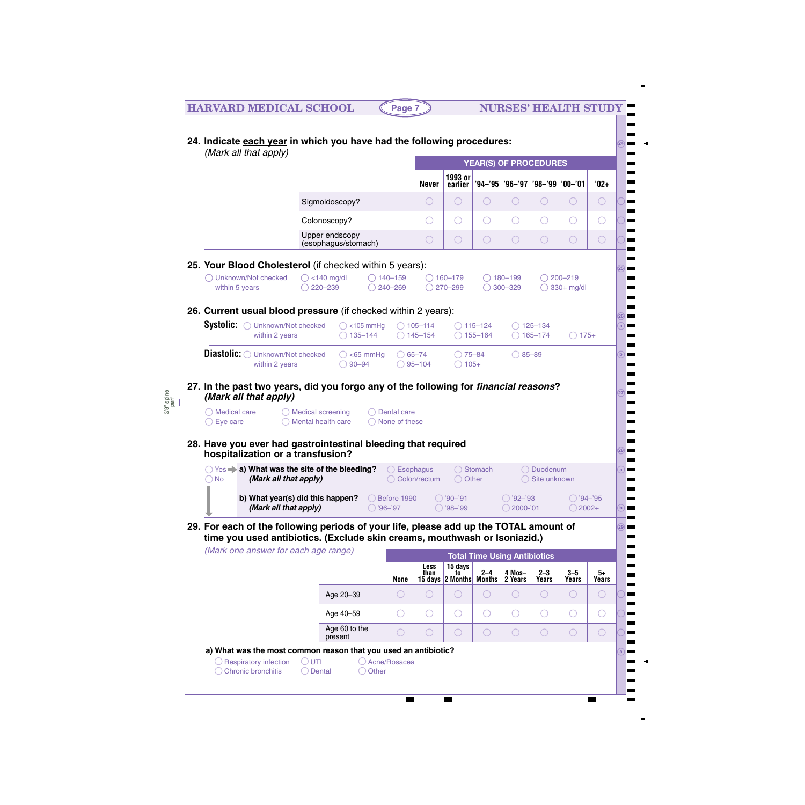|               |                                                                                                                                                                    | (Mark all that apply)                       |                                            |                               |                                               |                                     |                                          |                                          | <b>YEAR(S) OF PROCEDURES</b>             |                                             |                 |
|---------------|--------------------------------------------------------------------------------------------------------------------------------------------------------------------|---------------------------------------------|--------------------------------------------|-------------------------------|-----------------------------------------------|-------------------------------------|------------------------------------------|------------------------------------------|------------------------------------------|---------------------------------------------|-----------------|
|               |                                                                                                                                                                    |                                             |                                            |                               | <b>Never</b>                                  | 1993 or<br>earlier                  |                                          |                                          | '94-'95   '96-'97   '98-'99   '00-'01    |                                             | $'02+$          |
|               |                                                                                                                                                                    | Sigmoidoscopy?                              |                                            |                               | $\bigcirc$                                    | $\bigcirc$                          | O                                        | $\bigcirc$                               | $\bigcirc$                               | $\bigcirc$                                  | $\bigcirc$      |
|               |                                                                                                                                                                    | Colonoscopy?                                |                                            |                               | $\left( \begin{array}{c} \end{array} \right)$ | $\bigcirc$                          | O                                        | $\bigcirc$                               | $\bigcirc$                               | O                                           | $\bigcirc$      |
|               |                                                                                                                                                                    | Upper endscopy<br>(esophagus/stomach)       |                                            |                               | O                                             | $\bigcirc$                          | O                                        | $\bigcirc$                               | $\bigcirc$                               | $\bigcirc$                                  | $\bigcirc$      |
|               | 25. Your Blood Cholesterol (if checked within 5 years):<br>◯ Unknown/Not checked<br>within 5 years                                                                 | $\bigcirc$ <140 mg/dl<br>$\bigcirc$ 220-239 |                                            | $\bigcirc$ 140-159<br>240-269 |                                               | $\bigcirc$ 160-179<br>$O$ 270-299   |                                          | $\bigcirc$ 180-199<br>$\bigcirc$ 300-329 |                                          | $\bigcirc$ 200-219<br>$\bigcirc$ 330+ mg/dl |                 |
|               | 26. Current usual blood pressure (if checked within 2 years):                                                                                                      |                                             |                                            |                               |                                               |                                     |                                          |                                          |                                          |                                             |                 |
|               | Systolic:<br>◯ Unknown/Not checked<br>within 2 years                                                                                                               |                                             | $\bigcirc$ <105 mmHg<br>$\bigcirc$ 135-144 |                               | $\bigcirc$ 105-114<br>$\bigcirc$ 145-154      |                                     | $\bigcirc$ 115-124<br>$\bigcirc$ 155-164 |                                          | $\bigcirc$ 125-134<br>$\bigcirc$ 165-174 | $\bigcirc$ 175+                             |                 |
|               | Diastolic: O Unknown/Not checked<br>within 2 years                                                                                                                 |                                             | $\bigcirc$ <65 mmHg<br>$\bigcirc$ 90-94    |                               | $\bigcirc$ 65-74<br>$\bigcirc$ 95-104         | $\bigcirc$ 75-84<br>$\bigcirc$ 105+ |                                          | $\bigcirc$ 85-89                         |                                          |                                             |                 |
|               | $\bigcirc$ Medical care                                                                                                                                            | $\bigcirc$ Medical screening                |                                            | Dental care                   |                                               |                                     |                                          |                                          |                                          |                                             |                 |
|               | $\bigcirc$ Eye care<br>28. Have you ever had gastrointestinal bleeding that required<br>hospitalization or a transfusion?                                          | Mental health care                          |                                            | None of these                 |                                               |                                     |                                          |                                          |                                          |                                             |                 |
| $\bigcirc$ No | ○ Yes → a) What was the site of the bleeding?<br>(Mark all that apply)                                                                                             |                                             |                                            | $\bigcirc$ Esophagus          | ◯ Colon/rectum                                | ◯ Other                             | ◯ Stomach                                |                                          | O Duodenum<br>$\bigcirc$ Site unknown    |                                             |                 |
|               | (Mark all that apply)                                                                                                                                              | b) What year(s) did this happen?            |                                            | Before 1990<br>$96 - 97$      |                                               | $O'90-91$<br>$O'98 - 99$            |                                          | $O'92-93$<br>2000-'01                    |                                          | $\bigcirc$ '94–'95<br>$\bigcirc$ 2002+      |                 |
|               | 29. For each of the following periods of your life, please add up the TOTAL amount of<br>time you used antibiotics. (Exclude skin creams, mouthwash or Isoniazid.) |                                             |                                            |                               |                                               |                                     |                                          |                                          |                                          |                                             |                 |
|               | (Mark one answer for each age range)                                                                                                                               |                                             |                                            |                               | <b>Less</b>                                   | 15 days                             | <b>Total Time Using Antibiotics</b>      |                                          |                                          |                                             |                 |
|               |                                                                                                                                                                    |                                             |                                            | <b>None</b>                   | than                                          | to<br>15 days 2 Months Months       | $2 - 4$                                  | 4 Mos-<br>2 Years                        | $2 - 3$<br><b>Years</b>                  | $3 - 5$<br>Years                            | $5+$<br>Years   |
|               |                                                                                                                                                                    |                                             | Age 20-39                                  | O                             | O                                             | $\bigcirc$                          | O                                        | O                                        | $\bigcirc$                               | $\bigcirc$                                  | O               |
|               |                                                                                                                                                                    |                                             | Age 40-59<br>Age 60 to the                 | O<br>О                        | $\bigcirc$<br>О                               | $\bigcirc$<br>$\bigcirc$            | O<br>O                                   | $\bigcirc$<br>$\bigcirc$                 | O<br>$\bigcirc$                          | O<br>$\bigcirc$                             | O<br>$\bigcirc$ |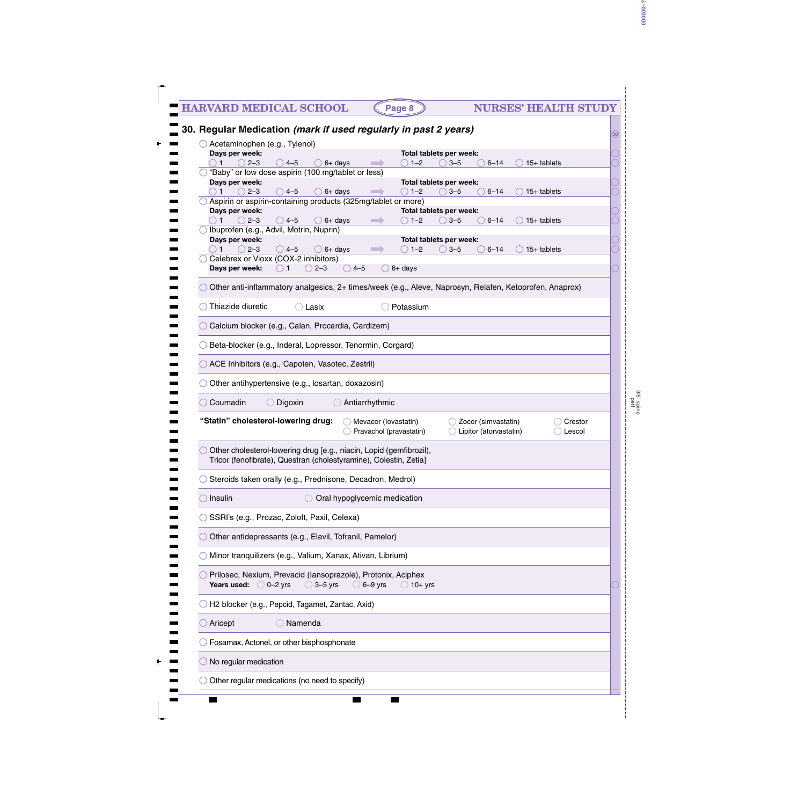| Acetaminophen (e.g., Tylenol)                                                                                                                                                                                     |
|-------------------------------------------------------------------------------------------------------------------------------------------------------------------------------------------------------------------|
| Days per week:<br>Total tablets per week:                                                                                                                                                                         |
| $\bigcirc$ 1–2<br>$15+$ tablets<br>$2 - 3$<br>$4 - 5$<br>$6+$ days<br>$3 - 5$<br>$6 - 14$<br>1<br>$\hspace{1.5cm} \longrightarrow \hspace{1.5cm}$<br>$\Box$<br>"Baby" or low dose aspirin (100 mg/tablet or less) |
| Days per week:<br>Total tablets per week:                                                                                                                                                                         |
| $\bigcirc$ 1–2<br>$2 - 3$<br>$\bigcirc$ 4–5<br>$6+$ days<br>$3 - 5$<br>$6 - 14$<br>$15+$ tablets<br><b>STAR</b><br>$($ )<br>Aspirin or aspirin-containing products (325mg/tablet or more)                         |
| Days per week:<br>Total tablets per week:<br>$2 - 3$<br>$\bigcirc$ 4–5<br>$6+$ days<br>$1 - 2$<br>$3 - 5$<br>$6 - 14$<br>$15+$ tablets<br><b>Contract</b><br>$\left( \quad \right)$                               |
| Ibuprofen (e.g., Advil, Motrin, Nuprin)                                                                                                                                                                           |
| Days per week:<br>Total tablets per week:<br>$2 - 3$<br>$\bigcirc$ 1–2<br>$\bigcirc$ 4–5<br>$6+$ days<br>$3 - 5$<br>$6 - 14$<br>$15+$ tablets<br><b>Contract</b>                                                  |
| Celebrex or Vioxx (COX-2 inhibitors)                                                                                                                                                                              |
| Days per week:<br>$\bigcirc$ 1<br>$\bigcirc$ 4-5<br>$2 - 3$<br>$\bigcirc$ 6+ days<br>$($ )                                                                                                                        |
| Other anti-inflammatory analgesics, 2+ times/week (e.g., Aleve, Naprosyn, Relafen, Ketoprofen, Anaprox)                                                                                                           |
| Thiazide diuretic<br>$\bigcirc$ Lasix<br>Potassium                                                                                                                                                                |
| Calcium blocker (e.g., Calan, Procardia, Cardizem)                                                                                                                                                                |
| Beta-blocker (e.g., Inderal, Lopressor, Tenormin, Corgard)                                                                                                                                                        |
| ACE Inhibitors (e.g., Capoten, Vasotec, Zestril)                                                                                                                                                                  |
| Other antihypertensive (e.g., losartan, doxazosin)                                                                                                                                                                |
|                                                                                                                                                                                                                   |
| Coumadin<br>◯ Digoxin<br>Antiarrhythmic<br>$($ )                                                                                                                                                                  |
| "Statin" cholesterol-lowering drug:<br>Mevacor (lovastatin)<br>Zocor (simvastatin)<br>Crestor                                                                                                                     |
| Pravachol (pravastatin)<br>Lipitor (atorvastatin)<br>Lescol                                                                                                                                                       |
| Other cholesterol-lowering drug [e.g., niacin, Lopid (gemfibrozil),<br>Tricor (fenofibrate), Questran (cholestyramine), Colestin, Zetia]                                                                          |
| Steroids taken orally (e.g., Prednisone, Decadron, Medrol)                                                                                                                                                        |
| Oral hypoglycemic medication<br>Insulin                                                                                                                                                                           |
| SSRI's (e.g., Prozac, Zoloft, Paxil, Celexa)                                                                                                                                                                      |
| Other antidepressants (e.g., Elavil, Tofranil, Pamelor)                                                                                                                                                           |
| Minor tranquilizers (e.g., Valium, Xanax, Ativan, Librium)                                                                                                                                                        |
| Prilosec, Nexium, Prevacid (Iansoprazole), Protonix, Aciphex<br><b>Years used:</b> $\bigcirc$ 0-2 yrs<br>$\bigcirc$ 3-5 yrs<br>$\bigcirc$ 6–9 yrs<br>$\bigcirc$ 10+ yrs                                           |
| H2 blocker (e.g., Pepcid, Tagamet, Zantac, Axid)                                                                                                                                                                  |
| $\bigcirc$ Namenda<br>Aricept                                                                                                                                                                                     |
| Fosamax, Actonel, or other bisphosphonate                                                                                                                                                                         |
|                                                                                                                                                                                                                   |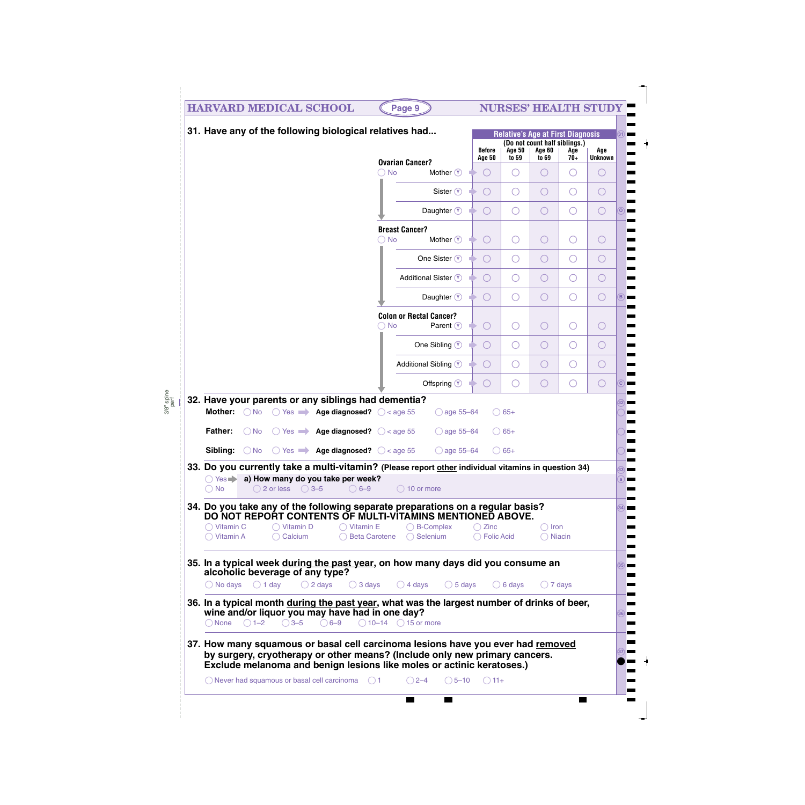| <b>HARVARD MEDICAL SCHOOL</b>                                                                                                                                                                                                          | Page 9                                                                  |                                          | <b>NURSES' HEALTH STUDY</b>              |                                      |              |                       |                |
|----------------------------------------------------------------------------------------------------------------------------------------------------------------------------------------------------------------------------------------|-------------------------------------------------------------------------|------------------------------------------|------------------------------------------|--------------------------------------|--------------|-----------------------|----------------|
| 31. Have any of the following biological relatives had                                                                                                                                                                                 |                                                                         |                                          | <b>Relative's Age at First Diagnosis</b> | (Do not count half siblings.)        |              |                       | 31)            |
|                                                                                                                                                                                                                                        |                                                                         | <b>Before</b><br><b>Age 50</b>           | <b>Age 50</b><br>to 59                   | <b>Age 60</b><br>to 69               | Age<br>$70+$ | Age<br><b>Unknown</b> |                |
|                                                                                                                                                                                                                                        | <b>Ovarian Cancer?</b><br>$\bigcirc$ No<br>Mother $(y)$                 | $\bigcirc$                               | O                                        | $\bigcirc$                           | O            | $\left(\right)$       |                |
|                                                                                                                                                                                                                                        | Sister $\circledcirc$                                                   | $\bigcirc$<br>$\rightarrow$              | $\bigcirc$                               | O                                    | $\bigcirc$   | Ő                     |                |
|                                                                                                                                                                                                                                        | Daughter $\circledcirc$                                                 | $\bigcirc$<br>$\rightarrow$              | $\bigcirc$                               | O                                    | $\bigcirc$   | $\bigcirc$            | $\omega$       |
|                                                                                                                                                                                                                                        | <b>Breast Cancer?</b><br>Mother $\mathcal{V}$<br>$\bigcirc$ No          | $\bigcirc$<br>$\rightarrow$              | O                                        | O                                    | O            | $\bigcirc$            |                |
|                                                                                                                                                                                                                                        | One Sister $\circledcirc$                                               | $\bigcirc$                               | $\bigcirc$                               | O                                    | $\bigcirc$   | Ő                     |                |
|                                                                                                                                                                                                                                        | Additional Sister $\mathcal{V}$                                         | $\bigcirc$                               | $\bigcirc$                               | O                                    | $\bigcirc$   | $\bigcirc$            |                |
|                                                                                                                                                                                                                                        | Daughter $\circledcirc$                                                 | $\bigcirc$<br>$\rightarrow$              | $\bigcirc$                               | $\bigcirc$                           | $\bigcirc$   | $\bigcirc$            | (B)            |
|                                                                                                                                                                                                                                        | <b>Colon or Rectal Cancer?</b><br>Parent $\circled{v}$<br>$\bigcirc$ No | $\bigcirc$<br>∙                          | O                                        | O                                    | O            | $\bigcirc$            |                |
|                                                                                                                                                                                                                                        | One Sibling $\circled{v}$                                               | $\bigcirc$<br>$\rightarrow$              | $\bigcirc$                               | O                                    | $\bigcirc$   | Ő                     |                |
|                                                                                                                                                                                                                                        | Additional Sibling $\circledcirc$                                       | $\bigcirc$                               | $\bigcirc$                               | O                                    | $\bigcirc$   | Ő                     |                |
|                                                                                                                                                                                                                                        | Offspring $\circled{v}$                                                 | $\bigcirc$                               | O                                        | O                                    | $\bigcirc$   | $\bigcirc$            | $\overline{c}$ |
| <b>Father:</b><br>Age diagnosed? $\bigcirc$ < age 55<br>$\bigcirc$ No<br>$() Yes$ $\rightarrow$<br><b>Sibling:</b> $\bigcirc$ No $\bigcirc$ Yes $\rightarrow$ <b>Age diagnosed?</b> $\bigcirc$ < age 55                                | $\bigcirc$ age 55-64<br>$\bigcirc$ age 55-64                            |                                          | $\bigcirc$ 65+<br>$\bigcirc$ 65+         |                                      |              |                       |                |
| 33. Do you currently take a multi-vitamin? (Please report other individual vitamins in question 34)<br>○ Yes → a) How many do you take per week?<br>$\bigcirc$ 2 or less $\bigcirc$ 3-5<br>$\bigcirc$ 6-9<br>$\bigcirc$ No             | $\bigcirc$ 10 or more                                                   |                                          |                                          |                                      |              |                       | (33)<br>a      |
| 34. Do you take any of the following separate preparations on a regular basis?<br>DO NOT REPORT CONTENTS OF MULTI-VITAMINS MENTIONED ABOVE.                                                                                            |                                                                         |                                          |                                          |                                      |              |                       | (34)           |
| $\bigcirc$ Vitamin D<br>$\bigcirc$ Vitamin E<br>$\bigcirc$ Vitamin C<br>$\bigcirc$ Vitamin A<br>$\bigcirc$ Calcium                                                                                                                     | $\bigcirc$ B-Complex<br>$\bigcirc$ Selenium<br>◯ Beta Carotene          | $\bigcirc$ Zinc<br>$\bigcirc$ Folic Acid |                                          | $\bigcirc$ Iron<br>$\bigcirc$ Niacin |              |                       |                |
| 35. In a typical week during the past year, on how many days did you consume an<br>alcoholic beverage of any type?<br>$\bigcirc$ 1 day<br>$\bigcirc$ 2 days<br>$\bigcirc$ 3 days<br>$\bigcirc$ No days                                 | $\bigcirc$ 4 days<br>$\bigcirc$ 5 days                                  |                                          | $\bigcirc$ 6 days                        | $\bigcirc$ 7 days                    |              |                       | 35             |
|                                                                                                                                                                                                                                        |                                                                         |                                          |                                          |                                      |              |                       |                |
| 36. In a typical month during the past year, what was the largest number of drinks of beer,<br>wine and/or liquor you may have had in one day?<br>$\bigcirc$ 3-5<br>$\bigcirc$ None $\bigcirc$ 1-2<br>$\bigcirc$ 6-9                   | $\bigcirc$ 10-14 $\bigcirc$ 15 or more                                  |                                          |                                          |                                      |              |                       | 36             |
| 37. How many squamous or basal cell carcinoma lesions have you ever had removed<br>by surgery, cryotherapy or other means? (Include only new primary cancers.<br>Exclude melanoma and benign lesions like moles or actinic keratoses.) |                                                                         |                                          |                                          |                                      |              |                       |                |
| $\bigcirc$ Never had squamous or basal cell carcinoma $\bigcirc$ 1                                                                                                                                                                     |                                                                         | $\bigcirc$ 5–10                          |                                          |                                      |              |                       |                |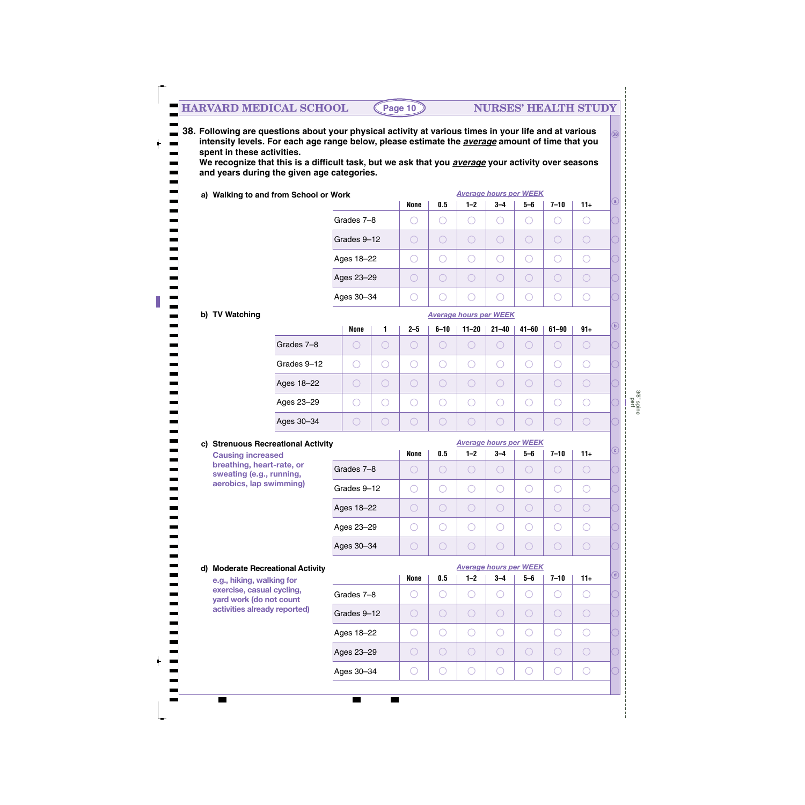**38. Following are questions about your physical activity at various times in your life and at various intensity levels. For each age range below, please estimate the** *average* **amount of time that you spent in these activities.** 

**We recognize that this is a difficult task, but we ask that you** *average* **your activity over seasons and years during the given age categories.**

| a) Walking to and from School or Work |             |      |     |                                       | <b>Average hours per WEEK</b> |     |          |       |         |
|---------------------------------------|-------------|------|-----|---------------------------------------|-------------------------------|-----|----------|-------|---------|
|                                       |             | None | 0.5 | $1 - 2$                               | $3 - 4$                       | 5-6 | $7 - 10$ | $11+$ | $\odot$ |
|                                       | Grades 7-8  |      |     |                                       |                               | С.  |          |       |         |
|                                       | Grades 9-12 |      |     | $\begin{pmatrix} 1 & 1 \end{pmatrix}$ |                               |     |          |       |         |
|                                       | Ages 18-22  |      |     |                                       |                               | С.  |          |       |         |
|                                       | Ages 23-29  |      |     |                                       |                               | C.  |          |       |         |
|                                       | Ages 30-34  |      |     |                                       |                               |     |          |       |         |

*Average hours per WEEK*

#### **b) TV Watching**

|             | None | 1  | $2 - 5$ | $6 - 10$ | $11 - 20$ | $21 - 40$ | $41 - 60$ | $61 - 90$ | $91+$ | $\sqrt{b}$ |
|-------------|------|----|---------|----------|-----------|-----------|-----------|-----------|-------|------------|
| Grades 7-8  |      | U. |         | U.       |           | C.        |           | U.        |       |            |
| Grades 9-12 |      | J. |         |          |           |           |           |           |       |            |
| Ages 18-22  |      |    |         | U.       |           | С.        |           |           |       |            |
| Ages 23-29  |      | С. | С.      |          |           |           |           |           |       |            |
| Ages 30-34  |      | U. |         |          |           | U.        |           |           |       |            |

#### **c) Strenuous Recreational Activity**

| <b>Strenuous Recreational Activity</b>                |             |             | <b>Average hours per WEEK</b> |     |         |         |          |     |  |  |  |
|-------------------------------------------------------|-------------|-------------|-------------------------------|-----|---------|---------|----------|-----|--|--|--|
| <b>Causing increased</b>                              |             | <b>None</b> | 0.5                           | 1–2 | $3 - 4$ | $5 - 6$ | $7 - 10$ | 11+ |  |  |  |
| breathing, heart-rate, or<br>sweating (e.g., running, | Grades 7-8  |             |                               |     | o.      |         |          |     |  |  |  |
| aerobics, lap swimming)                               | Grades 9-12 |             |                               |     |         |         |          |     |  |  |  |
|                                                       | Ages 18-22  |             |                               |     | in a    |         |          | C.  |  |  |  |
|                                                       | Ages 23-29  |             |                               |     |         |         |          |     |  |  |  |
|                                                       | Ages 30-34  |             |                               |     |         |         |          |     |  |  |  |

#### *Average hours per WEEK* **d) Moderate Recreational Activity d None 0.5 1–2 3–4 5–6 7–10 11+ e.g., hiking, walking for exercise, casual cycling,**  $\bigcirc$  $\bigcirc$  $\bigcirc$  $\bigcirc$  $\bigcirc$ Grades 7–8 ○  $\bigcirc$ **yard work (do not count activities already reported)** Grades 9–12  $\bigcirc$  $\bigcirc$  $\bigcirc$  $\bigcirc$  $\bigcirc$  $\bigcirc$  $\bigcirc$  $\bigcirc$  $\bigcirc$  $\bigcirc$  $\bigcirc$  $\bigcirc$  $\bigcirc$  $\bigcirc$ Ages 18–22 Ages 23–29  $\bigcirc$  $\bigcirc$  $\bigcirc$  $\bigcirc$  $\bigcirc$  $\bigcirc$  $\bigcirc$ Ages 30–34  $\bigcirc$  $\bigcirc$  $\bigcirc$  $\bigcirc$  $\bigcirc$  $\bigcirc$  $\bigcirc$

**c**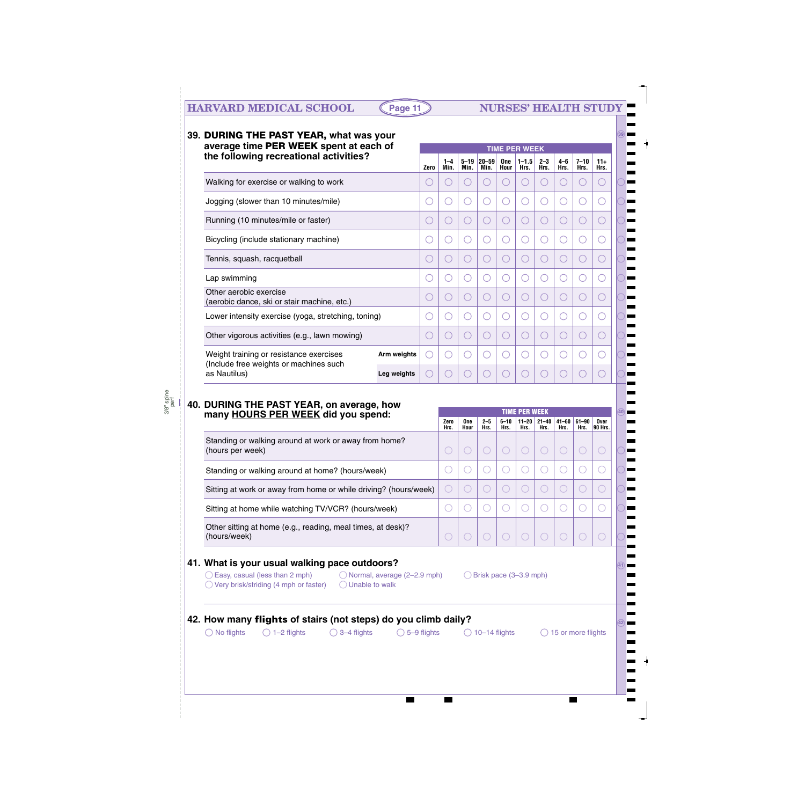### **HARVARD MEDICAL SCHOOL (Page 11) NURSES' HEALTH STUDY**

| average time PER WEEK spent at each of                                                           |      | <b>TIME PER WEEK</b> |                                             |                 |                    |                      |                   |                   |                                               |                        |
|--------------------------------------------------------------------------------------------------|------|----------------------|---------------------------------------------|-----------------|--------------------|----------------------|-------------------|-------------------|-----------------------------------------------|------------------------|
| the following recreational activities?                                                           | Zero | $1 - 4$<br>Min.      | $5 - 19$<br>Min.                            | 20-59<br>Min.   | <b>One</b><br>Hour | $1 - 1.5$<br>Hrs.    | $2 - 3$<br>Hrs.   | $4-6$<br>Hrs.     | $7 - 10$<br>Hrs.                              | $11+$<br>Hrs.          |
| Walking for exercise or walking to work                                                          |      | ( )                  | ( )                                         |                 | С.                 |                      | 0                 | ○                 | ( )                                           |                        |
| Jogging (slower than 10 minutes/mile)                                                            |      | 0                    | 0                                           |                 | O                  | O                    | 0                 | 0                 | ○                                             |                        |
| Running (10 minutes/mile or faster)                                                              |      | ○                    | O                                           |                 | С                  | ( )                  | C                 | О                 | $(\ )$                                        |                        |
| Bicycling (include stationary machine)                                                           |      | ( )                  | ( )                                         |                 | C                  | ( )                  | 0                 | 0                 |                                               |                        |
| Tennis, squash, racquetball                                                                      | ( )  | ( )                  | ( )                                         | C)              | С                  | O                    | 0                 | $\bigcirc$        | C)                                            |                        |
| Lap swimming                                                                                     |      | О                    | $\bigcirc$                                  |                 | С                  | ( )                  | O                 | O                 | 0                                             |                        |
| Other aerobic exercise<br>(aerobic dance, ski or stair machine, etc.)                            |      | ( )                  | ( )                                         |                 | 0                  | $\bigcirc$           | $(\ )$            | ( )               | ( )                                           |                        |
| Lower intensity exercise (yoga, stretching, toning)                                              |      | 0                    | 0                                           |                 | O                  | $\bigcirc$           | 0                 | 0                 | 0                                             |                        |
| Other vigorous activities (e.g., lawn mowing)                                                    |      | O                    | O                                           |                 | С                  | ( )                  | U                 | О                 | $(\ )$                                        |                        |
| Weight training or resistance exercises<br>Arm weights<br>(Include free weights or machines such |      | ( )                  | $(\ )$                                      |                 | С.                 |                      |                   |                   |                                               |                        |
| as Nautilus)<br>Leg weights                                                                      | ( )  | $(\ )$               | $\left(\begin{array}{c} \end{array}\right)$ |                 | 0                  | $\bigcirc$           | 0                 | ( )               | $\left( \begin{array}{c} \end{array} \right)$ |                        |
|                                                                                                  |      |                      |                                             |                 |                    |                      |                   |                   |                                               |                        |
| 40. DURING THE PAST YEAR, on average, how<br>many HOURS PER WEEK did you spend:                  |      |                      |                                             |                 |                    | <b>TIME PER WEEK</b> |                   |                   |                                               |                        |
|                                                                                                  |      | Zero<br>Hrs.         | One<br>Hour                                 | $2 - 5$<br>Hrs. | $6 - 10$<br>Hrs.   | $11 - 20$<br>Hrs.    | $21 - 40$<br>Hrs. | $41 - 60$<br>Hrs. | $61 - 90$<br>Hrs.                             | Over<br><b>90 Hrs.</b> |
| Standing or walking around at work or away from home?<br>(hours per week)                        |      | $(\ )$               | $\bigcirc$                                  | $\bigcirc$      | $\bigcirc$         | $\bigcirc$           | O                 | $\bigcirc$        | 0                                             | $\bigcirc$             |
| Standing or walking around at home? (hours/week)                                                 |      | 0                    | ○                                           |                 | C                  | $(\ )$               |                   | O                 |                                               |                        |
| Sitting at work or away from home or while driving? (hours/week)                                 |      | O                    | O                                           | 0               | $\bigcirc$         | O                    | 0                 | О                 | $\left(\begin{array}{c} \end{array}\right)$   |                        |
| Sitting at home while watching TV/VCR? (hours/week)                                              |      |                      |                                             |                 |                    |                      |                   |                   |                                               |                        |

Other sitting at home (e.g., reading, meal times, at desk)? (hours/week)

#### **41. What is your usual walking pace outdoors?**

 $\bigcirc$  Very brisk/striding (4 mph or faster)  $\bigcirc$  Unable to walk

 $\bigcirc$  Easy, casual (less than 2 mph)  $\bigcirc$  Normal, average (2–2.9 mph)  $\bigcirc$  Brisk pace (3–3.9 mph)

 $\bigcirc$ 

 $\bigcirc$ 

 $\bigcirc$ 

**42. How many flights of stairs (not steps) do you climb daily? Allowing the state of all assumption** 

 $\bigcirc$ 

 $\bigcirc$ 

 $\bigcirc$ 

 $\bigcirc$  No flights  $\bigcirc$  1–2 flights  $\bigcirc$  3–4 flights  $\bigcirc$  5–9 flights  $\bigcirc$  10–14 flights  $\bigcirc$  15 or more flights

 $\bigcirc$ 

 $\bigcirc$ 

 $\bigcirc$ 

**41**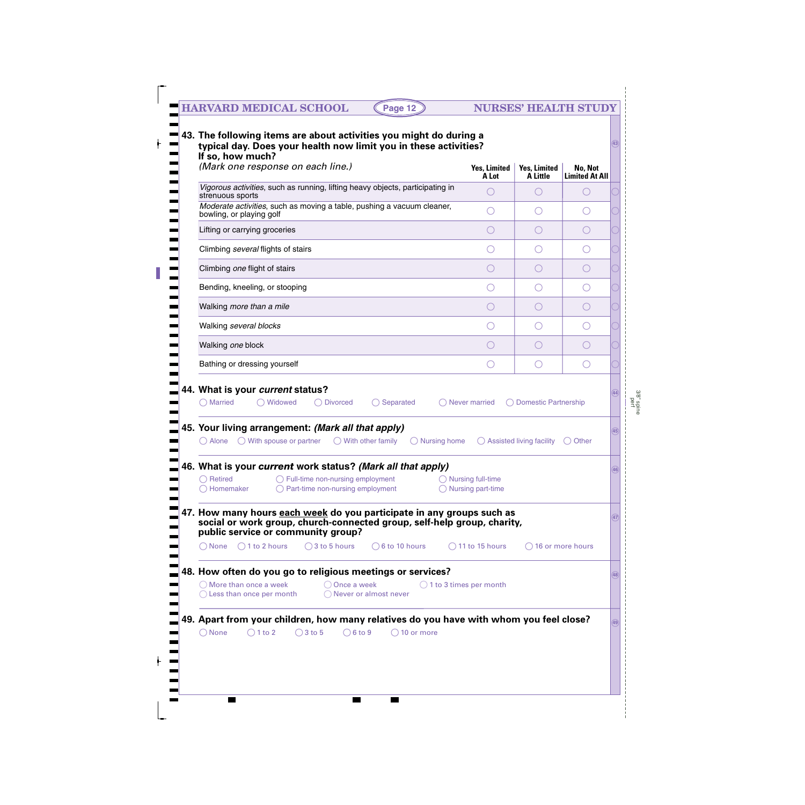# **HARVARD MEDICAL SCHOOL (Page 12) NURSES' HEALTH STUDY**

| (Mark one response on each line.)                                                                                                                                                             | <b>Yes, Limited</b><br>A Lot | Yes, Limited<br>A Little         | No, Not<br><b>Limited At All</b> |              |
|-----------------------------------------------------------------------------------------------------------------------------------------------------------------------------------------------|------------------------------|----------------------------------|----------------------------------|--------------|
| Vigorous activities, such as running, lifting heavy objects, participating in<br>strenuous sports                                                                                             |                              |                                  |                                  |              |
| Moderate activities, such as moving a table, pushing a vacuum cleaner,<br>bowling, or playing golf                                                                                            |                              |                                  |                                  |              |
| Lifting or carrying groceries                                                                                                                                                                 | ( )                          |                                  |                                  |              |
| Climbing several flights of stairs                                                                                                                                                            |                              |                                  |                                  |              |
| Climbing one flight of stairs                                                                                                                                                                 | ( )                          |                                  |                                  |              |
| Bending, kneeling, or stooping                                                                                                                                                                |                              |                                  |                                  |              |
| Walking more than a mile                                                                                                                                                                      | $(\ )$                       |                                  |                                  |              |
| Walking several blocks                                                                                                                                                                        |                              |                                  |                                  |              |
| Walking one block                                                                                                                                                                             |                              |                                  |                                  |              |
|                                                                                                                                                                                               |                              |                                  |                                  |              |
| Bathing or dressing yourself<br>44. What is your current status?<br>◯ Married<br>Widowed<br>$\bigcirc$ Separated<br>( ) Divorced<br>45. Your living arrangement: (Mark all that apply)        | Never married                | $(\ )$<br>◯ Domestic Partnership |                                  |              |
| $\bigcirc$ Alone $\bigcirc$ With spouse or partner<br>$\bigcirc$ With other family<br>$\bigcirc$ Nursing home<br>46. What is your current work status? (Mark all that apply)                  |                              | Assisted living facility         | Other<br>$\left( \quad \right)$  |              |
| $\bigcirc$ Retired $\bigcirc$ Full-time non-nursing employment $\bigcirc$ Nursing full-time<br>$\bigcirc$ Part-time non-nursing employment<br>◯ Homemaker                                     | $\bigcirc$ Nursing part-time |                                  |                                  |              |
| 47. How many hours <b>each week</b> do you participate in any groups such as<br>social or work group, church-connected group, self-help group, charity,<br>public service or community group? |                              |                                  |                                  |              |
| $\bigcirc$ None $\bigcirc$ 1 to 2 hours<br>$\bigcirc$ 3 to 5 hours<br>$\bigcirc$ 6 to 10 hours                                                                                                | $\bigcirc$ 11 to 15 hours    | $\bigcirc$ 16 or more hours      |                                  |              |
| 48. How often do you go to religious meetings or services?                                                                                                                                    |                              |                                  |                                  |              |
| $\bigcirc$ More than once a week<br>$\bigcirc$ Once a week<br>$\bigcirc$ 1 to 3 times per month<br>$\bigcirc$ Less than once per month<br>◯ Never or almost never                             |                              |                                  |                                  | (44)<br>(48) |
| 49. Apart from your children, how many relatives do you have with whom you feel close?                                                                                                        |                              |                                  |                                  | (49)         |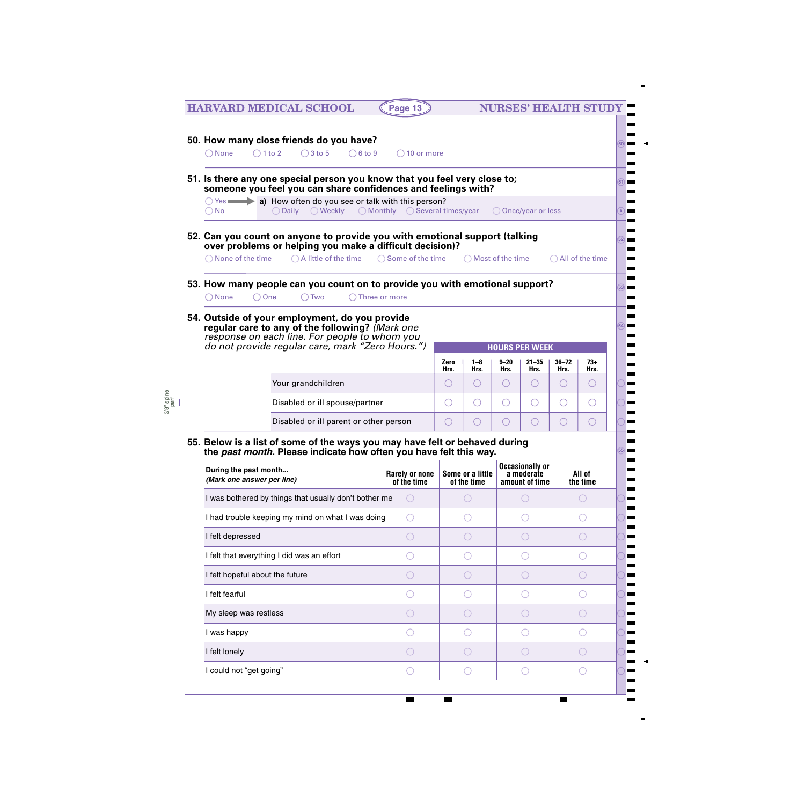| <b>HARVARD MEDICAL SCHOOL</b>                                                                                                                                                                          | Page 13                              |                                |                                 |                                | <b>NURSES' HEALTH STUD</b>                             |                                                     |                         |
|--------------------------------------------------------------------------------------------------------------------------------------------------------------------------------------------------------|--------------------------------------|--------------------------------|---------------------------------|--------------------------------|--------------------------------------------------------|-----------------------------------------------------|-------------------------|
| 50. How many close friends do you have?                                                                                                                                                                |                                      |                                |                                 |                                |                                                        |                                                     |                         |
| $\bigcirc$ 3 to 5<br>$\bigcirc$ 1 to 2<br>$\bigcirc$ 6 to 9<br>$\bigcap$ None                                                                                                                          | $\bigcirc$ 10 or more                |                                |                                 |                                |                                                        |                                                     |                         |
| 51. Is there any one special person you know that you feel very close to;<br>someone you feel you can share confidences and feelings with?                                                             |                                      |                                |                                 |                                |                                                        |                                                     |                         |
| $\circ$ Yes $\bullet$ a) How often do you see or talk with this person?<br>○ Daily ○ Weekly ○ Monthly ○ Several times/year<br>$\bigcirc$ No                                                            |                                      |                                |                                 |                                | ◯ Once/year or less                                    |                                                     |                         |
| 52. Can you count on anyone to provide you with emotional support (talking<br>over problems or helping you make a difficult decision)?                                                                 |                                      |                                |                                 |                                |                                                        |                                                     |                         |
| $\bigcirc$ A little of the time $\bigcirc$ Some of the time<br>$\bigcirc$ None of the time                                                                                                             |                                      |                                | $\bigcap$ Most of the time      |                                |                                                        | $\bigcirc$ All of the time                          |                         |
| 53. How many people can you count on to provide you with emotional support?<br>$\bigcirc$ One<br>$\bigcap$ Two<br>◯ None<br>$\bigcap$ Three or more                                                    |                                      |                                |                                 |                                |                                                        |                                                     |                         |
| 54. Outside of your employment, do you provide<br>regular care to any of the following? (Mark one<br>response on each line. For people to whom you<br>do not provide regular care, mark "Zero Hours.") |                                      |                                |                                 |                                | <b>HOURS PER WEEK</b>                                  |                                                     |                         |
|                                                                                                                                                                                                        |                                      | Zero                           | $1 - 8$                         | $9 - 20$                       | $21 - 35$                                              | $36 - 72$                                           | 73+                     |
| Your grandchildren                                                                                                                                                                                     |                                      | Hrs.<br>$\left( \quad \right)$ | Hrs.<br>$\left( \ \right)$      | Hrs.<br>$\left( \quad \right)$ | Hrs.<br>$\left(\right)$                                | Hrs.<br>$\left(\begin{array}{c} \end{array}\right)$ | Hrs.<br>$\left(\right)$ |
| Disabled or ill spouse/partner                                                                                                                                                                         |                                      | 0                              | O                               | 0                              | O                                                      | $\left(\begin{array}{c} \end{array}\right)$         | ○                       |
| Disabled or ill parent or other person                                                                                                                                                                 |                                      | $\left(\right)$                | $\left(\right)$                 | $(\ )$                         | O                                                      | $\left(\right)$                                     | $\bigcirc$              |
|                                                                                                                                                                                                        |                                      |                                |                                 |                                |                                                        |                                                     |                         |
| the past month. Please indicate how often you have felt this way.                                                                                                                                      |                                      |                                |                                 |                                |                                                        |                                                     |                         |
| During the past month<br>(Mark one answer per line)                                                                                                                                                    | <b>Rarely or none</b><br>of the time |                                | Some or a little<br>of the time |                                | <b>Occasionally or</b><br>a moderate<br>amount of time |                                                     | All of<br>the time      |
| I was bothered by things that usually don't bother me                                                                                                                                                  |                                      |                                |                                 |                                | O                                                      |                                                     | $\bigcirc$              |
| I had trouble keeping my mind on what I was doing                                                                                                                                                      |                                      |                                |                                 |                                |                                                        |                                                     |                         |
| 55. Below is a list of some of the ways you may have felt or behaved during<br>I felt depressed                                                                                                        |                                      |                                |                                 |                                | $(\ )$                                                 |                                                     | $( \ )$                 |
| I felt that everything I did was an effort                                                                                                                                                             |                                      |                                |                                 |                                |                                                        |                                                     |                         |
| I felt hopeful about the future                                                                                                                                                                        |                                      |                                |                                 |                                | $(\ )$                                                 |                                                     | $( \ )$                 |
| I felt fearful                                                                                                                                                                                         |                                      |                                |                                 |                                |                                                        |                                                     |                         |
| My sleep was restless                                                                                                                                                                                  |                                      |                                |                                 |                                |                                                        |                                                     | $( \ )$                 |
| I was happy                                                                                                                                                                                            |                                      |                                |                                 |                                |                                                        |                                                     |                         |
| I felt lonely                                                                                                                                                                                          |                                      |                                |                                 |                                |                                                        |                                                     | $($ )                   |

 $\blacksquare$ 

 $\mathcal{L}_{\mathcal{A}}$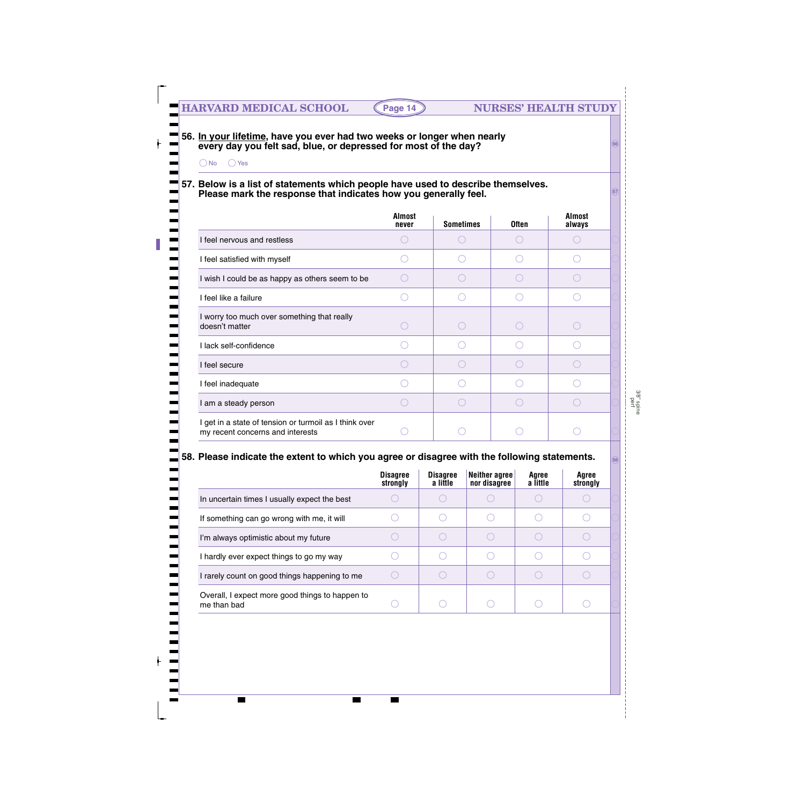#### **56. In your lifetime, have you ever had two weeks or longer when nearly every day you felt sad, blue, or depressed for most of the day?**

No Yes

 $\blacksquare$ 

 $\blacksquare$ 

### **57. Below is a list of statements which people have used to describe themselves. Please mark the response that indicates how you generally feel. STERGER 2009**

|                                                                                            | <b>Almost</b><br>never | <b>Sometimes</b> | <b>Often</b> | <b>Almost</b><br>always |
|--------------------------------------------------------------------------------------------|------------------------|------------------|--------------|-------------------------|
| I feel nervous and restless                                                                |                        |                  |              |                         |
| I feel satisfied with myself                                                               |                        |                  |              |                         |
| I wish I could be as happy as others seem to be                                            |                        |                  |              |                         |
| I feel like a failure                                                                      |                        |                  |              |                         |
| I worry too much over something that really<br>doesn't matter                              |                        |                  |              |                         |
| I lack self-confidence                                                                     |                        |                  |              |                         |
| I feel secure                                                                              |                        |                  |              |                         |
| I feel inadequate                                                                          |                        |                  |              |                         |
| I am a steady person                                                                       |                        |                  |              |                         |
| I get in a state of tension or turmoil as I think over<br>my recent concerns and interests |                        |                  |              |                         |

### **58. Please indicate the extent to which you agree or disagree with the following statements. <sup>58</sup>**

|                                                                | <b>Disagree</b><br>strongly | <b>Disagree</b><br>a little | Neither agree<br>nor disagree | Agree<br>a little | Agree<br>strongly |
|----------------------------------------------------------------|-----------------------------|-----------------------------|-------------------------------|-------------------|-------------------|
| In uncertain times I usually expect the best                   |                             |                             |                               |                   |                   |
| If something can go wrong with me, it will                     |                             |                             |                               |                   |                   |
| I'm always optimistic about my future                          |                             |                             |                               |                   |                   |
| I hardly ever expect things to go my way                       |                             |                             |                               |                   |                   |
| I rarely count on good things happening to me                  |                             |                             |                               |                   |                   |
| Overall, I expect more good things to happen to<br>me than bad |                             |                             |                               |                   |                   |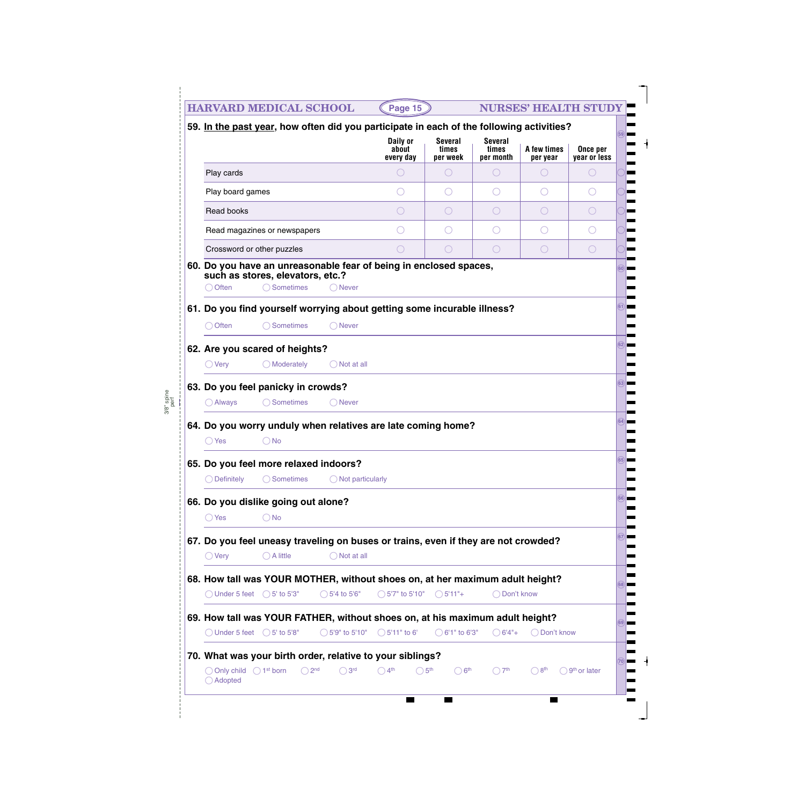|                                               | <b>HARVARD MEDICAL SCHOOL</b>                        |                                                                                          | Page 15                        |                                     |                                      | <b>NURSES' HEALTH STUDY</b>                   |                                               |      |
|-----------------------------------------------|------------------------------------------------------|------------------------------------------------------------------------------------------|--------------------------------|-------------------------------------|--------------------------------------|-----------------------------------------------|-----------------------------------------------|------|
|                                               |                                                      | 59. In the past year, how often did you participate in each of the following activities? |                                |                                     |                                      |                                               |                                               | 59   |
|                                               |                                                      |                                                                                          | Daily or<br>about<br>every day | <b>Several</b><br>times<br>per week | <b>Several</b><br>times<br>per month | A few times<br>per year                       | Once per<br>year or less                      |      |
| Play cards                                    |                                                      |                                                                                          |                                |                                     |                                      | $(\ )$                                        | $\bigcirc$                                    |      |
| Play board games                              |                                                      |                                                                                          |                                |                                     |                                      |                                               | $\left( \begin{array}{c} \end{array} \right)$ |      |
| Read books                                    |                                                      |                                                                                          |                                |                                     |                                      | ( )                                           | O                                             |      |
|                                               | Read magazines or newspapers                         |                                                                                          |                                |                                     |                                      |                                               |                                               |      |
| Crossword or other puzzles                    |                                                      |                                                                                          | ○                              | $\bigcirc$                          | ◯                                    | $\left( \begin{array}{c} \end{array} \right)$ | $\bigcirc$                                    |      |
|                                               | such as stores, elevators, etc.?                     | 60. Do you have an unreasonable fear of being in enclosed spaces,                        |                                |                                     |                                      |                                               |                                               | (60) |
| ◯ Often                                       | ◯ Sometimes                                          | $\bigcap$ Never                                                                          |                                |                                     |                                      |                                               |                                               |      |
|                                               |                                                      | 61. Do you find yourself worrying about getting some incurable illness?                  |                                |                                     |                                      |                                               |                                               | 61)  |
| ◯ Often                                       | ◯ Sometimes                                          | ◯ Never                                                                                  |                                |                                     |                                      |                                               |                                               |      |
|                                               | 62. Are you scared of heights?                       |                                                                                          |                                |                                     |                                      |                                               |                                               | (62) |
| $\bigcirc$ Very                               | $\bigcirc$ Moderately                                | $\bigcirc$ Not at all                                                                    |                                |                                     |                                      |                                               |                                               |      |
|                                               | 63. Do you feel panicky in crowds?                   |                                                                                          |                                |                                     |                                      |                                               |                                               | (63) |
| $\bigcirc$ Always                             | ◯ Sometimes                                          | ◯ Never                                                                                  |                                |                                     |                                      |                                               |                                               |      |
|                                               |                                                      |                                                                                          |                                |                                     |                                      |                                               |                                               | (64) |
| O Yes                                         | <b>No</b>                                            | 64. Do you worry unduly when relatives are late coming home?                             |                                |                                     |                                      |                                               |                                               |      |
|                                               |                                                      |                                                                                          |                                |                                     |                                      |                                               |                                               | 65   |
| $\bigcirc$ Definitely                         | 65. Do you feel more relaxed indoors?<br>◯ Sometimes | $\bigcirc$ Not particularly                                                              |                                |                                     |                                      |                                               |                                               |      |
|                                               |                                                      |                                                                                          |                                |                                     |                                      |                                               |                                               | 66   |
|                                               | 66. Do you dislike going out alone?                  |                                                                                          |                                |                                     |                                      |                                               |                                               |      |
| $\bigcirc$ Yes                                | $\bigcirc$ No                                        |                                                                                          |                                |                                     |                                      |                                               |                                               |      |
|                                               |                                                      | 67. Do you feel uneasy traveling on buses or trains, even if they are not crowded?       |                                |                                     |                                      |                                               |                                               | 67   |
| $\bigcirc$ Very                               | $\bigcirc$ A little                                  | $\bigcirc$ Not at all                                                                    |                                |                                     |                                      |                                               |                                               |      |
|                                               |                                                      | 68. How tall was YOUR MOTHER, without shoes on, at her maximum adult height?             |                                |                                     |                                      |                                               |                                               |      |
| $\bigcirc$ Under 5 feet $\bigcirc$ 5' to 5'3" |                                                      | $\bigcirc$ 5'4 to 5'6"                                                                   | $\bigcirc$ 5'7" to 5'10"       | $\bigcirc$ 5'11"+                   | Don't know                           |                                               |                                               |      |
|                                               |                                                      | 69. How tall was YOUR FATHER, without shoes on, at his maximum adult height?             |                                |                                     |                                      |                                               |                                               | 69   |
| $\bigcirc$ Under 5 feet $\bigcirc$ 5' to 5'8" |                                                      | $\bigcirc$ 5'9" to 5'10"                                                                 | $\bigcirc$ 5'11" to 6'         | $\bigcirc$ 6'1" to 6'3"             | $\bigcirc$ 6'4"+                     | ◯ Don't know                                  |                                               |      |
|                                               |                                                      | 70. What was your birth order, relative to your siblings?                                |                                |                                     |                                      |                                               |                                               |      |
|                                               |                                                      |                                                                                          |                                |                                     |                                      |                                               |                                               |      |

 $\blacksquare$ 

 $\blacksquare$ 

E

 $\blacksquare$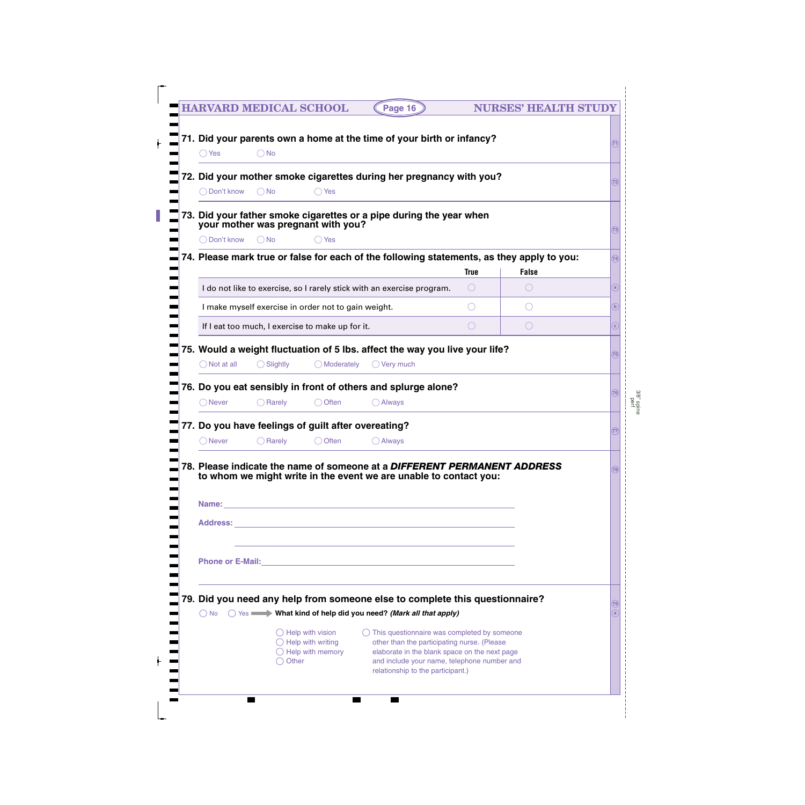| <b>HARVARD MEDICAL SCHOOL</b> |                     |                                                                                            | Page 16                                                                                                                                                                                               |                        | <b>NURSES' HEALTH STUDY</b>                 |                   |
|-------------------------------|---------------------|--------------------------------------------------------------------------------------------|-------------------------------------------------------------------------------------------------------------------------------------------------------------------------------------------------------|------------------------|---------------------------------------------|-------------------|
| $\bigcirc$ Yes                | $\bigcirc$ No       |                                                                                            | 71. Did your parents own a home at the time of your birth or infancy?                                                                                                                                 |                        |                                             |                   |
| ◯ Don't know                  | $\bigcirc$ No       | ( ) Yes                                                                                    | 72. Did your mother smoke cigarettes during her pregnancy with you?                                                                                                                                   |                        |                                             | 72)               |
|                               |                     | your mother was pregnant with you?                                                         | 73. Did your father smoke cigarettes or a pipe during the year when                                                                                                                                   |                        |                                             | 73)               |
| ◯ Don't know                  | $\bigcirc$ No       | $\bigcirc$ Yes                                                                             |                                                                                                                                                                                                       |                        |                                             |                   |
|                               |                     |                                                                                            | 74. Please mark true or false for each of the following statements, as they apply to you:                                                                                                             |                        |                                             | (74)              |
|                               |                     |                                                                                            |                                                                                                                                                                                                       | <b>True</b>            | <b>False</b>                                |                   |
|                               |                     |                                                                                            | I do not like to exercise, so I rarely stick with an exercise program.                                                                                                                                | $\left( \quad \right)$ |                                             | a                 |
|                               |                     | I make myself exercise in order not to gain weight.                                        |                                                                                                                                                                                                       |                        |                                             | $\mathbf b$       |
|                               |                     | If I eat too much, I exercise to make up for it.                                           |                                                                                                                                                                                                       | $(\ )$                 | $\left(\begin{array}{c} \end{array}\right)$ | $\mathbf{C}$      |
| $\bigcirc$ Not at all         | $\bigcirc$ Slightly | () Moderately                                                                              | 75. Would a weight fluctuation of 5 lbs. affect the way you live your life?<br>$\bigcirc$ Very much                                                                                                   |                        |                                             | (75)              |
| ( ) Never                     | $\bigcirc$ Rarely   | ○ Often                                                                                    | 76. Do you eat sensibly in front of others and splurge alone?<br>$\bigcirc$ Always                                                                                                                    |                        |                                             | (76)              |
|                               |                     |                                                                                            | 77. Do you have feelings of guilt after overeating?                                                                                                                                                   |                        |                                             | 77)               |
| O Never                       | $\bigcirc$ Rarely   | Often                                                                                      | <b>Always</b>                                                                                                                                                                                         |                        |                                             |                   |
|                               |                     |                                                                                            | 78. Please indicate the name of someone at a DIFFERENT PERMANENT ADDRESS<br>to whom we might write in the event we are unable to contact you:                                                         |                        |                                             | (78)              |
|                               |                     |                                                                                            |                                                                                                                                                                                                       |                        |                                             |                   |
|                               |                     |                                                                                            | 79. Did you need any help from someone else to complete this questionnaire?<br>◯ No ◯ Yes What kind of help did you need? (Mark all that apply)                                                       |                        |                                             | $\left(79\right)$ |
|                               | $\bigcirc$ Other    | $\bigcirc$ Help with vision<br>$\bigcirc$ Help with writing<br>$\bigcirc$ Help with memory | $\bigcirc$ This questionnaire was completed by someone<br>other than the participating nurse. (Please<br>elaborate in the blank space on the next page<br>and include your name, telephone number and |                        |                                             |                   |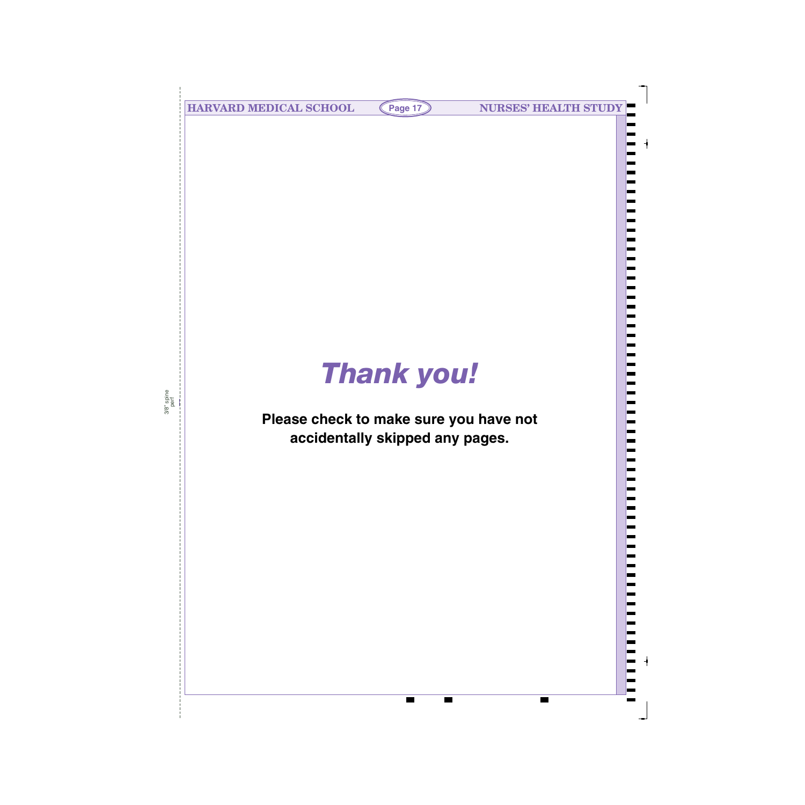**HARVARD MEDICAL SCHOOL (Page 17) NURSES' HEALTH STUDY** 

# *Thank you!*

# **Please check to make sure you have not accidentally skipped any pages.**